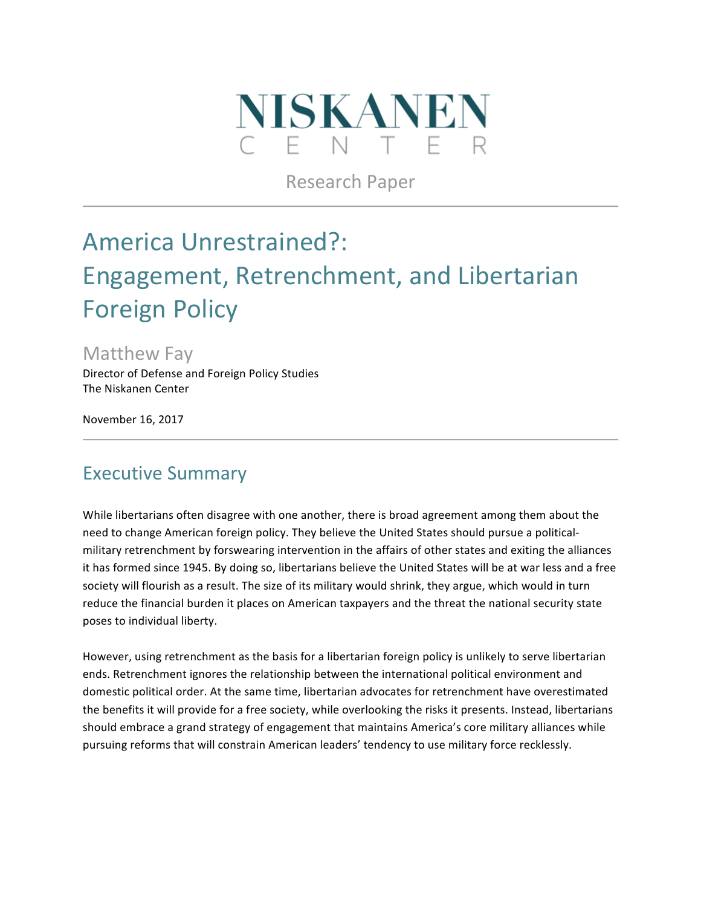

Research Paper

# America Unrestrained?: Engagement, Retrenchment, and Libertarian Foreign Policy

**Matthew Fay** 

Director of Defense and Foreign Policy Studies The Niskanen Center

November 16, 2017

### **Executive Summary**

While libertarians often disagree with one another, there is broad agreement among them about the need to change American foreign policy. They believe the United States should pursue a politicalmilitary retrenchment by forswearing intervention in the affairs of other states and exiting the alliances it has formed since 1945. By doing so, libertarians believe the United States will be at war less and a free society will flourish as a result. The size of its military would shrink, they argue, which would in turn reduce the financial burden it places on American taxpayers and the threat the national security state poses to individual liberty.

However, using retrenchment as the basis for a libertarian foreign policy is unlikely to serve libertarian ends. Retrenchment ignores the relationship between the international political environment and domestic political order. At the same time, libertarian advocates for retrenchment have overestimated the benefits it will provide for a free society, while overlooking the risks it presents. Instead, libertarians should embrace a grand strategy of engagement that maintains America's core military alliances while pursuing reforms that will constrain American leaders' tendency to use military force recklessly.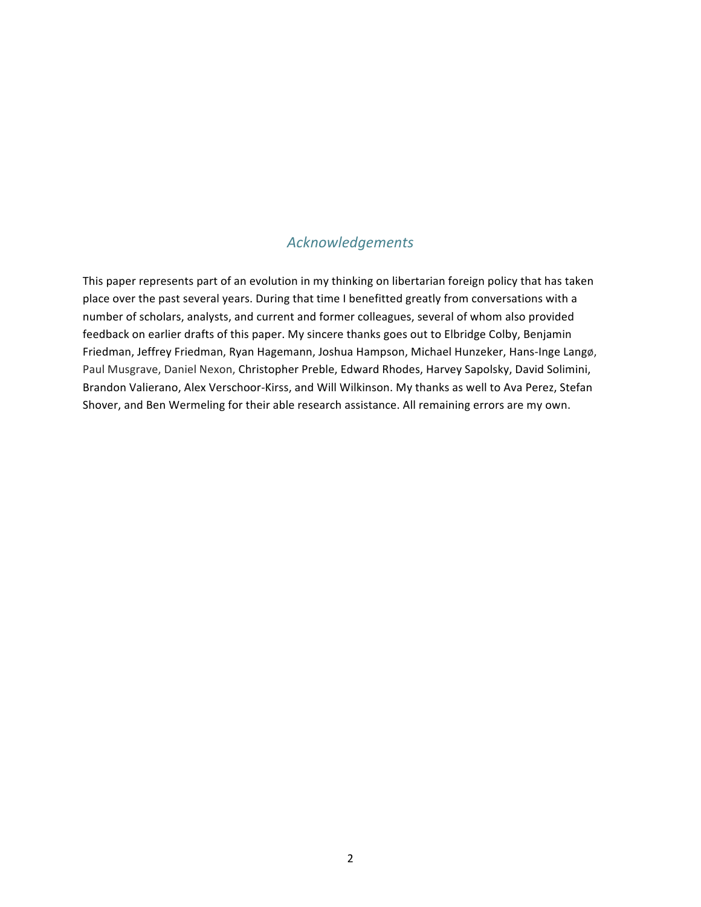#### *Acknowledgements*

This paper represents part of an evolution in my thinking on libertarian foreign policy that has taken place over the past several years. During that time I benefitted greatly from conversations with a number of scholars, analysts, and current and former colleagues, several of whom also provided feedback on earlier drafts of this paper. My sincere thanks goes out to Elbridge Colby, Benjamin Friedman, Jeffrey Friedman, Ryan Hagemann, Joshua Hampson, Michael Hunzeker, Hans-Inge Langø, Paul Musgrave, Daniel Nexon, Christopher Preble, Edward Rhodes, Harvey Sapolsky, David Solimini, Brandon Valierano, Alex Verschoor-Kirss, and Will Wilkinson. My thanks as well to Ava Perez, Stefan Shover, and Ben Wermeling for their able research assistance. All remaining errors are my own.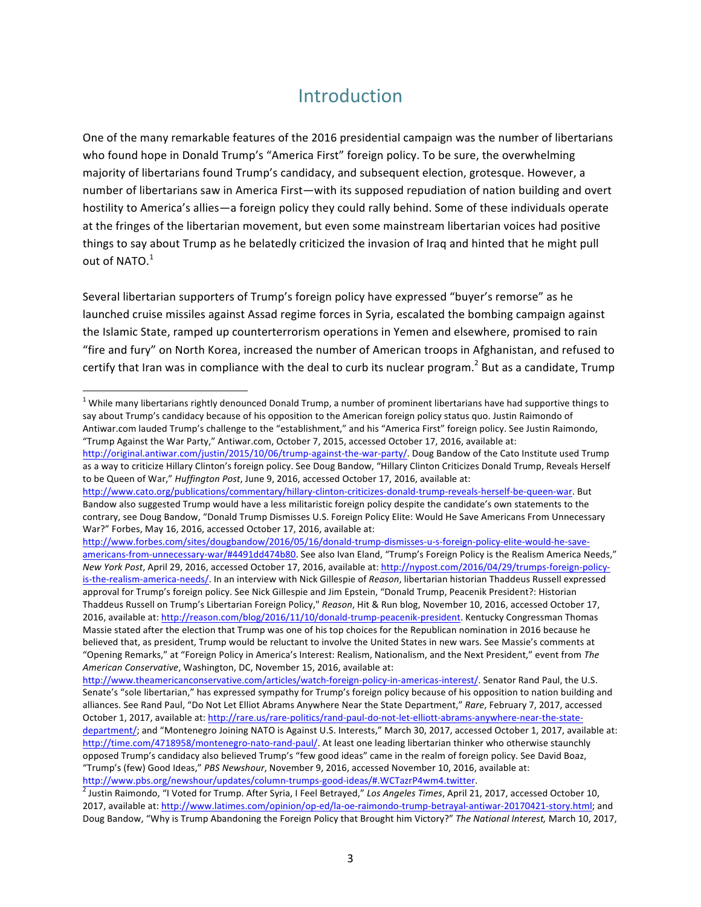### Introduction

One of the many remarkable features of the 2016 presidential campaign was the number of libertarians who found hope in Donald Trump's "America First" foreign policy. To be sure, the overwhelming majority of libertarians found Trump's candidacy, and subsequent election, grotesque. However, a number of libertarians saw in America First—with its supposed repudiation of nation building and overt hostility to America's allies—a foreign policy they could rally behind. Some of these individuals operate at the fringes of the libertarian movement, but even some mainstream libertarian voices had positive things to say about Trump as he belatedly criticized the invasion of Iraq and hinted that he might pull out of NATO. $1$ 

Several libertarian supporters of Trump's foreign policy have expressed "buyer's remorse" as he launched cruise missiles against Assad regime forces in Syria, escalated the bombing campaign against the Islamic State, ramped up counterterrorism operations in Yemen and elsewhere, promised to rain "fire and fury" on North Korea, increased the number of American troops in Afghanistan, and refused to certify that Iran was in compliance with the deal to curb its nuclear program.<sup>2</sup> But as a candidate. Trump

http://www.forbes.com/sites/dougbandow/2016/05/16/donald-trump-dismisses-u-s-foreign-policy-elite-would-he-saveamericans-from-unnecessary-war/#4491dd474b80. See also Ivan Eland, "Trump's Foreign Policy is the Realism America Needs," *New York Post*, April 29, 2016, accessed October 17, 2016, available at: http://nypost.com/2016/04/29/trumps-foreign-policyis-the-realism-america-needs/. In an interview with Nick Gillespie of *Reason*, libertarian historian Thaddeus Russell expressed approval for Trump's foreign policy. See Nick Gillespie and Jim Epstein, "Donald Trump, Peacenik President?: Historian Thaddeus Russell on Trump's Libertarian Foreign Policy," Reason, Hit & Run blog, November 10, 2016, accessed October 17, 2016, available at: http://reason.com/blog/2016/11/10/donald-trump-peacenik-president. Kentucky Congressman Thomas Massie stated after the election that Trump was one of his top choices for the Republican nomination in 2016 because he believed that, as president, Trump would be reluctant to involve the United States in new wars. See Massie's comments at "Opening Remarks," at "Foreign Policy in America's Interest: Realism, Nationalism, and the Next President," event from The *American Conservative*, Washington, DC, November 15, 2016, available at:

 $1$  While many libertarians rightly denounced Donald Trump, a number of prominent libertarians have had supportive things to say about Trump's candidacy because of his opposition to the American foreign policy status quo. Justin Raimondo of Antiwar.com lauded Trump's challenge to the "establishment," and his "America First" foreign policy. See Justin Raimondo, "Trump Against the War Party," Antiwar.com, October 7, 2015, accessed October 17, 2016, available at:

http://original.antiwar.com/justin/2015/10/06/trump-against-the-war-party/. Doug Bandow of the Cato Institute used Trump as a way to criticize Hillary Clinton's foreign policy. See Doug Bandow, "Hillary Clinton Criticizes Donald Trump, Reveals Herself to be Queen of War," *Huffington Post*, June 9, 2016, accessed October 17, 2016, available at:

http://www.cato.org/publications/commentary/hillary-clinton-criticizes-donald-trump-reveals-herself-be-queen-war. But Bandow also suggested Trump would have a less militaristic foreign policy despite the candidate's own statements to the contrary, see Doug Bandow, "Donald Trump Dismisses U.S. Foreign Policy Elite: Would He Save Americans From Unnecessary War?" Forbes, May 16, 2016, accessed October 17, 2016, available at:

http://www.theamericanconservative.com/articles/watch-foreign-policy-in-americas-interest/. Senator Rand Paul, the U.S. Senate's "sole libertarian," has expressed sympathy for Trump's foreign policy because of his opposition to nation building and alliances. See Rand Paul, "Do Not Let Elliot Abrams Anywhere Near the State Department," Rare, February 7, 2017, accessed October 1, 2017, available at: http://rare.us/rare-politics/rand-paul-do-not-let-elliott-abrams-anywhere-near-the-statedepartment/; and "Montenegro Joining NATO is Against U.S. Interests," March 30, 2017, accessed October 1, 2017, available at: http://time.com/4718958/montenegro-nato-rand-paul/. At least one leading libertarian thinker who otherwise staunchly opposed Trump's candidacy also believed Trump's "few good ideas" came in the realm of foreign policy. See David Boaz, "Trump's (few) Good Ideas," PBS Newshour, November 9, 2016, accessed November 10, 2016, available at:

http://www.pbs.org/newshour/updates/column-trumps-good-ideas/#.WCTazrP4wm4.twitter.<br><sup>2</sup> Justin Raimondo, "I Voted for Trump. After Syria, I Feel Betrayed," *Los Angeles Times*, April 21, 2017, accessed October 10, 2017, available at: http://www.latimes.com/opinion/op-ed/la-oe-raimondo-trump-betrayal-antiwar-20170421-story.html; and Doug Bandow, "Why is Trump Abandoning the Foreign Policy that Brought him Victory?" The National Interest, March 10, 2017,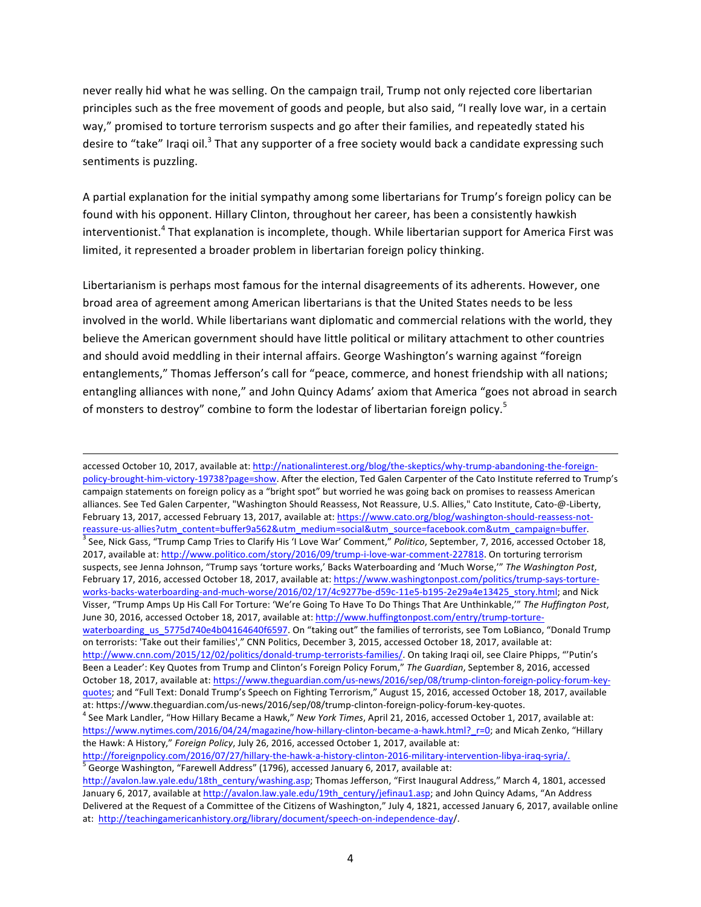never really hid what he was selling. On the campaign trail, Trump not only rejected core libertarian principles such as the free movement of goods and people, but also said, "I really love war, in a certain way," promised to torture terrorism suspects and go after their families, and repeatedly stated his desire to "take" Iraqi oil.<sup>3</sup> That any supporter of a free society would back a candidate expressing such sentiments is puzzling.

A partial explanation for the initial sympathy among some libertarians for Trump's foreign policy can be found with his opponent. Hillary Clinton, throughout her career, has been a consistently hawkish interventionist.<sup>4</sup> That explanation is incomplete, though. While libertarian support for America First was limited, it represented a broader problem in libertarian foreign policy thinking.

Libertarianism is perhaps most famous for the internal disagreements of its adherents. However, one broad area of agreement among American libertarians is that the United States needs to be less involved in the world. While libertarians want diplomatic and commercial relations with the world, they believe the American government should have little political or military attachment to other countries and should avoid meddling in their internal affairs. George Washington's warning against "foreign entanglements," Thomas Jefferson's call for "peace, commerce, and honest friendship with all nations; entangling alliances with none," and John Quincy Adams' axiom that America "goes not abroad in search of monsters to destroy" combine to form the lodestar of libertarian foreign policy.<sup>5</sup>

<u> 2002 - Andrea Santa Alemania, amerikana amerikana amerikana amerikana amerikana amerikana amerikana amerikana</u>

accessed October 10, 2017, available at: http://nationalinterest.org/blog/the-skeptics/why-trump-abandoning-the-foreignpolicy-brought-him-victory-19738?page=show. After the election, Ted Galen Carpenter of the Cato Institute referred to Trump's campaign statements on foreign policy as a "bright spot" but worried he was going back on promises to reassess American alliances. See Ted Galen Carpenter, "Washington Should Reassess, Not Reassure, U.S. Allies," Cato Institute, Cato-@-Liberty, February 13, 2017, accessed February 13, 2017, available at: https://www.cato.org/blog/washington-should-reassess-notreassure-us-allies?utm\_content=buffer9a562&utm\_medium=social&utm\_source=facebook.com&utm\_campaign=buffer.<br><sup>3</sup> See, Nick Gass, "Trump Camp Tries to Clarify His 'I Love War' Comment," *Politico*, September, 7, 2016, accessed 2017, available at: http://www.politico.com/story/2016/09/trump-i-love-war-comment-227818. On torturing terrorism suspects, see Jenna Johnson, "Trump says 'torture works,' Backs Waterboarding and 'Much Worse," The Washington Post, February 17, 2016, accessed October 18, 2017, available at: https://www.washingtonpost.com/politics/trump-says-tortureworks-backs-waterboarding-and-much-worse/2016/02/17/4c9277be-d59c-11e5-b195-2e29a4e13425\_story.html; and Nick Visser, "Trump Amps Up His Call For Torture: 'We're Going To Have To Do Things That Are Unthinkable," The Huffington Post, June 30, 2016, accessed October 18, 2017, available at: http://www.huffingtonpost.com/entry/trump-torturewaterboarding us 5775d740e4b04164640f6597. On "taking out" the families of terrorists, see Tom LoBianco, "Donald Trump on terrorists: 'Take out their families'," CNN Politics, December 3, 2015, accessed October 18, 2017, available at: http://www.cnn.com/2015/12/02/politics/donald-trump-terrorists-families/. On taking Iraqi oil, see Claire Phipps, "'Putin's Been a Leader': Key Quotes from Trump and Clinton's Foreign Policy Forum," The Guardian, September 8, 2016, accessed October 18, 2017, available at: https://www.theguardian.com/us-news/2016/sep/08/trump-clinton-foreign-policy-forum-keyquotes; and "Full Text: Donald Trump's Speech on Fighting Terrorism," August 15, 2016, accessed October 18, 2017, available at: https://www.theguardian.com/us-news/2016/sep/08/trump-clinton-foreign-policy-forum-key-quotes.<br><sup>4</sup> See Mark Landler, "How Hillary Became a Hawk," New York Times, April 21, 2016, accessed October 1, 2017, available at: https://www.nytimes.com/2016/04/24/magazine/how-hillary-clinton-became-a-hawk.html? r=0; and Micah Zenko, "Hillary the Hawk: A History," Foreign Policy, July 26, 2016, accessed October 1, 2017, available at: http://foreignpolicy.com/2016/07/27/hillary-the-hawk-a-history-clinton-2016-military-intervention-libya-iraq-syria/.<br>
<sup>5</sup> George Washington, "Farewell Address" (1796), accessed January 6, 2017, available at:

http://avalon.law.yale.edu/18th\_century/washing.asp; Thomas Jefferson, "First Inaugural Address," March 4, 1801, accessed January 6, 2017, available at http://avalon.law.yale.edu/19th\_century/jefinau1.asp; and John Quincy Adams, "An Address Delivered at the Request of a Committee of the Citizens of Washington," July 4, 1821, accessed January 6, 2017, available online at: http://teachingamericanhistory.org/library/document/speech-on-independence-day/.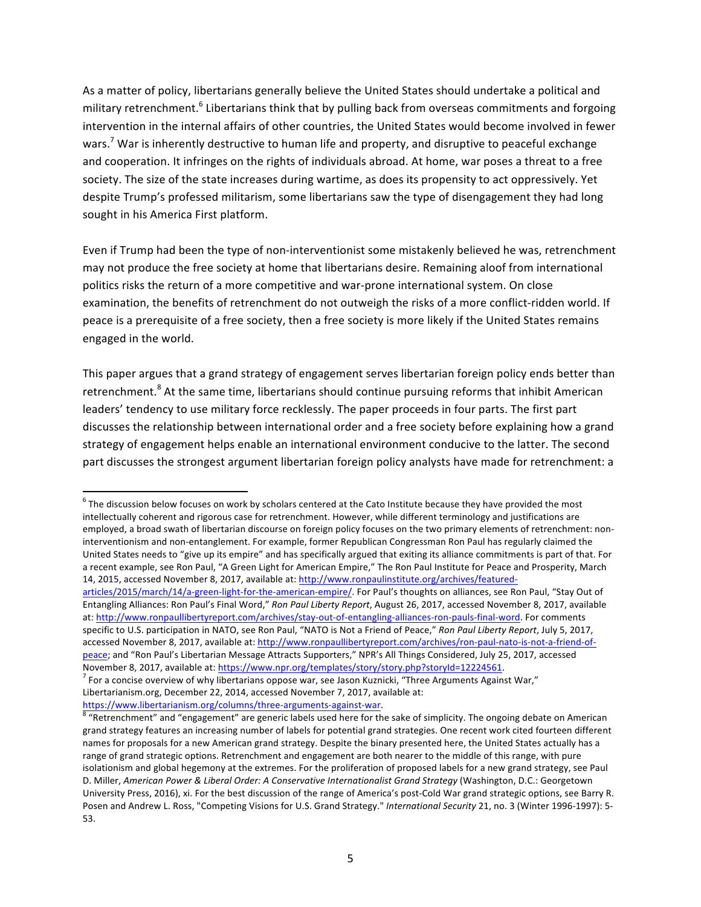As a matter of policy, libertarians generally believe the United States should undertake a political and military retrenchment.<sup>6</sup> Libertarians think that by pulling back from overseas commitments and forgoing intervention in the internal affairs of other countries, the United States would become involved in fewer wars.<sup>7</sup> War is inherently destructive to human life and property, and disruptive to peaceful exchange and cooperation. It infringes on the rights of individuals abroad. At home, war poses a threat to a free society. The size of the state increases during wartime, as does its propensity to act oppressively. Yet despite Trump's professed militarism, some libertarians saw the type of disengagement they had long sought in his America First platform.

Even if Trump had been the type of non-interventionist some mistakenly believed he was, retrenchment may not produce the free society at home that libertarians desire. Remaining aloof from international politics risks the return of a more competitive and war-prone international system. On close examination, the benefits of retrenchment do not outweigh the risks of a more conflict-ridden world. If peace is a prerequisite of a free society, then a free society is more likely if the United States remains engaged in the world.

This paper argues that a grand strategy of engagement serves libertarian foreign policy ends better than retrenchment.<sup>8</sup> At the same time, libertarians should continue pursuing reforms that inhibit American leaders' tendency to use military force recklessly. The paper proceeds in four parts. The first part discusses the relationship between international order and a free society before explaining how a grand strategy of engagement helps enable an international environment conducive to the latter. The second part discusses the strongest argument libertarian foreign policy analysts have made for retrenchment: a

 $6$  The discussion below focuses on work by scholars centered at the Cato Institute because they have provided the most intellectually coherent and rigorous case for retrenchment. However, while different terminology and justifications are employed, a broad swath of libertarian discourse on foreign policy focuses on the two primary elements of retrenchment: noninterventionism and non-entanglement. For example, former Republican Congressman Ron Paul has regularly claimed the United States needs to "give up its empire" and has specifically argued that exiting its alliance commitments is part of that. For a recent example, see Ron Paul, "A Green Light for American Empire," The Ron Paul Institute for Peace and Prosperity, March 14, 2015, accessed November 8, 2017, available at: http://www.ronpaulinstitute.org/archives/featured-

articles/2015/march/14/a-green-light-for-the-american-empire/. For Paul's thoughts on alliances, see Ron Paul, "Stay Out of Entangling Alliances: Ron Paul's Final Word," Ron Paul Liberty Report, August 26, 2017, accessed November 8, 2017, available at: http://www.ronpaullibertyreport.com/archives/stay-out-of-entangling-alliances-ron-pauls-final-word. For comments specific to U.S. participation in NATO, see Ron Paul, "NATO is Not a Friend of Peace," Ron Paul Liberty Report, July 5, 2017, accessed November 8, 2017, available at: http://www.ronpaullibertyreport.com/archives/ron-paul-nato-is-not-a-friend-ofpeace; and "Ron Paul's Libertarian Message Attracts Supporters," NPR's All Things Considered, July 25, 2017, accessed

November 8, 2017, available at: https://www.npr.org/templates/story/story.php?storyId=12224561.<br><sup>7</sup> For a concise overview of why libertarians oppose war, see Jason Kuznicki, "Three Arguments Against War," Libertarianism.org, December 22, 2014, accessed November 7, 2017, available at:

https://www.libertarianism.org/columns/three-arguments-against-war.<br><sup>8</sup> "Retrenchment" and "engagement" are generic labels used here for the sake of simplicity. The ongoing debate on American grand strategy features an increasing number of labels for potential grand strategies. One recent work cited fourteen different names for proposals for a new American grand strategy. Despite the binary presented here, the United States actually has a range of grand strategic options. Retrenchment and engagement are both nearer to the middle of this range, with pure isolationism and global hegemony at the extremes. For the proliferation of proposed labels for a new grand strategy, see Paul D. Miller, American Power & Liberal Order: A Conservative Internationalist Grand Strategy (Washington, D.C.: Georgetown University Press, 2016), xi. For the best discussion of the range of America's post-Cold War grand strategic options, see Barry R. Posen and Andrew L. Ross, "Competing Visions for U.S. Grand Strategy." *International Security* 21, no. 3 (Winter 1996-1997): 5-53.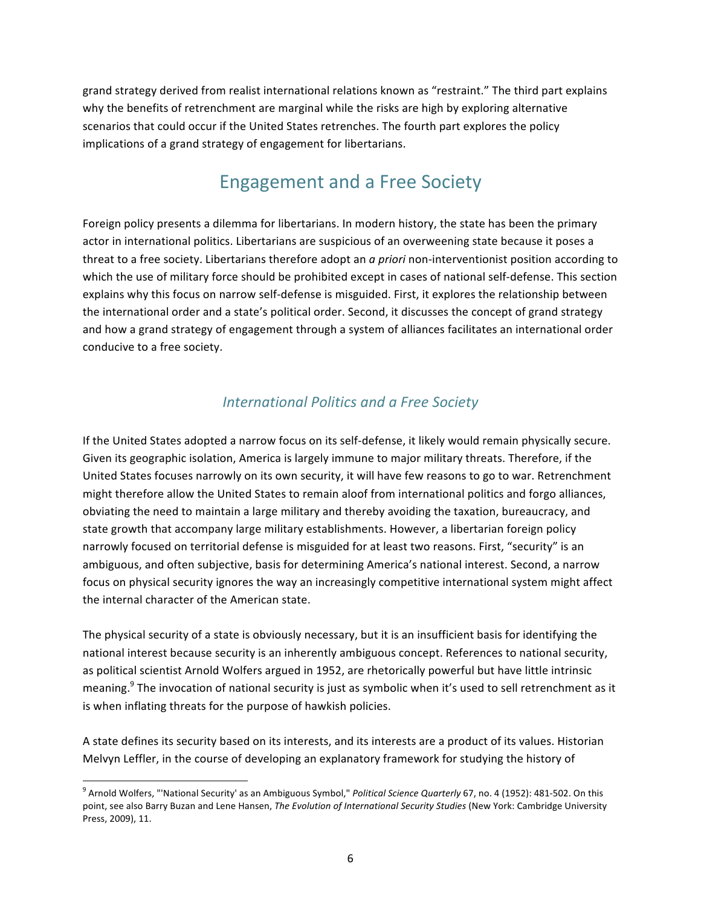grand strategy derived from realist international relations known as "restraint." The third part explains why the benefits of retrenchment are marginal while the risks are high by exploring alternative scenarios that could occur if the United States retrenches. The fourth part explores the policy implications of a grand strategy of engagement for libertarians.

### Engagement and a Free Society

Foreign policy presents a dilemma for libertarians. In modern history, the state has been the primary actor in international politics. Libertarians are suspicious of an overweening state because it poses a threat to a free society. Libertarians therefore adopt an *a priori* non-interventionist position according to which the use of military force should be prohibited except in cases of national self-defense. This section explains why this focus on narrow self-defense is misguided. First, it explores the relationship between the international order and a state's political order. Second, it discusses the concept of grand strategy and how a grand strategy of engagement through a system of alliances facilitates an international order conducive to a free society.

### *International Politics and a Free Society*

If the United States adopted a narrow focus on its self-defense, it likely would remain physically secure. Given its geographic isolation, America is largely immune to major military threats. Therefore, if the United States focuses narrowly on its own security, it will have few reasons to go to war. Retrenchment might therefore allow the United States to remain aloof from international politics and forgo alliances, obviating the need to maintain a large military and thereby avoiding the taxation, bureaucracy, and state growth that accompany large military establishments. However, a libertarian foreign policy narrowly focused on territorial defense is misguided for at least two reasons. First, "security" is an ambiguous, and often subjective, basis for determining America's national interest. Second, a narrow focus on physical security ignores the way an increasingly competitive international system might affect the internal character of the American state.

The physical security of a state is obviously necessary, but it is an insufficient basis for identifying the national interest because security is an inherently ambiguous concept. References to national security, as political scientist Arnold Wolfers argued in 1952, are rhetorically powerful but have little intrinsic meaning.<sup>9</sup> The invocation of national security is just as symbolic when it's used to sell retrenchment as it is when inflating threats for the purpose of hawkish policies.

A state defines its security based on its interests, and its interests are a product of its values. Historian Melvyn Leffler, in the course of developing an explanatory framework for studying the history of

<sup>&</sup>lt;sup>9</sup> Arnold Wolfers, "'National Security' as an Ambiguous Symbol," *Political Science Quarterly* 67, no. 4 (1952): 481-502. On this point, see also Barry Buzan and Lene Hansen, The Evolution of International Security Studies (New York: Cambridge University Press, 2009), 11.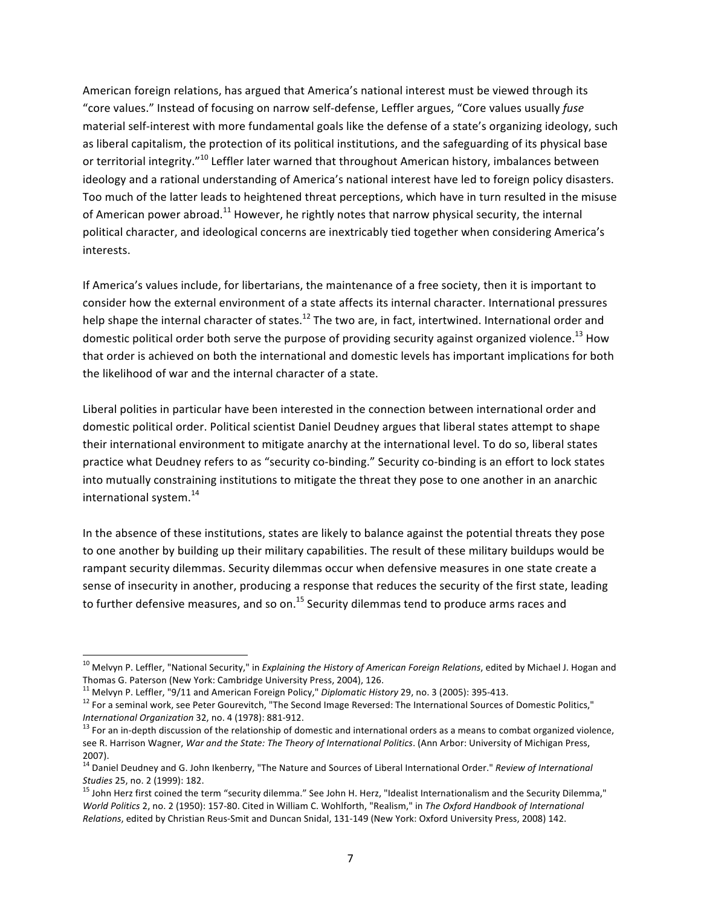American foreign relations, has argued that America's national interest must be viewed through its "core values." Instead of focusing on narrow self-defense, Leffler argues, "Core values usually *fuse* material self-interest with more fundamental goals like the defense of a state's organizing ideology, such as liberal capitalism, the protection of its political institutions, and the safeguarding of its physical base or territorial integrity."<sup>10</sup> Leffler later warned that throughout American history, imbalances between ideology and a rational understanding of America's national interest have led to foreign policy disasters. Too much of the latter leads to heightened threat perceptions, which have in turn resulted in the misuse of American power abroad.<sup>11</sup> However, he rightly notes that narrow physical security, the internal political character, and ideological concerns are inextricably tied together when considering America's interests.

If America's values include, for libertarians, the maintenance of a free society, then it is important to consider how the external environment of a state affects its internal character. International pressures help shape the internal character of states.<sup>12</sup> The two are, in fact, intertwined. International order and domestic political order both serve the purpose of providing security against organized violence.<sup>13</sup> How that order is achieved on both the international and domestic levels has important implications for both the likelihood of war and the internal character of a state.

Liberal polities in particular have been interested in the connection between international order and domestic political order. Political scientist Daniel Deudney argues that liberal states attempt to shape their international environment to mitigate anarchy at the international level. To do so, liberal states practice what Deudney refers to as "security co-binding." Security co-binding is an effort to lock states into mutually constraining institutions to mitigate the threat they pose to one another in an anarchic international system. $^{14}$ 

In the absence of these institutions, states are likely to balance against the potential threats they pose to one another by building up their military capabilities. The result of these military buildups would be rampant security dilemmas. Security dilemmas occur when defensive measures in one state create a sense of insecurity in another, producing a response that reduces the security of the first state, leading to further defensive measures, and so on.<sup>15</sup> Security dilemmas tend to produce arms races and

<sup>&</sup>lt;sup>10</sup> Melvyn P. Leffler, "National Security," in *Explaining the History of American Foreign Relations*, edited by Michael J. Hogan and Thomas G. Paterson (New York: Cambridge University Press, 2004), 126.<br><sup>11</sup> Melvyn P. Leffler, "9/11 and American Foreign Policy," Diplomatic History 29, no. 3 (2005): 395-413.

<sup>&</sup>lt;sup>12</sup> For a seminal work, see Peter Gourevitch, "The Second Image Reversed: The International Sources of Domestic Politics,"<br>International Organization 32, no. 4 (1978): 881-912.

<sup>&</sup>lt;sup>13</sup> For an in-depth discussion of the relationship of domestic and international orders as a means to combat organized violence, see R. Harrison Wagner, *War and the State: The Theory of International Politics*. (Ann Arbor: University of Michigan Press, 2007).

<sup>&</sup>lt;sup>14</sup> Daniel Deudney and G. John Ikenberry, "The Nature and Sources of Liberal International Order." *Review of International*<br>Studies 25, no. 2 (1999): 182.

<sup>&</sup>lt;sup>15</sup> John Herz first coined the term "security dilemma." See John H. Herz, "Idealist Internationalism and the Security Dilemma," *World Politics* 2, no. 2 (1950): 157-80. Cited in William C. Wohlforth, "Realism," in The Oxford Handbook of International *Relations*, edited by Christian Reus-Smit and Duncan Snidal, 131-149 (New York: Oxford University Press, 2008) 142.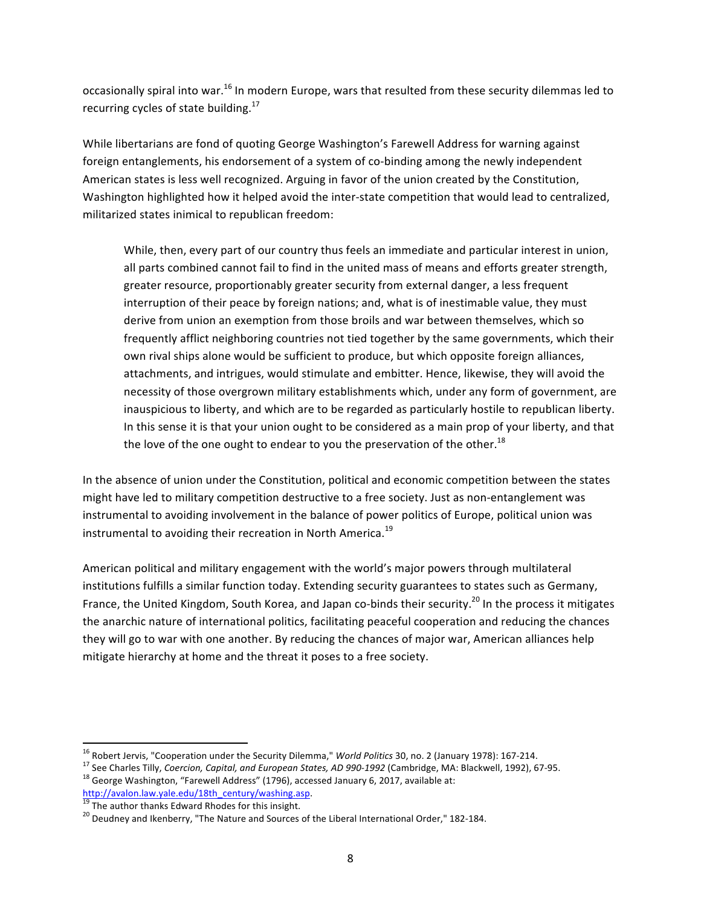occasionally spiral into war.<sup>16</sup> In modern Europe, wars that resulted from these security dilemmas led to recurring cycles of state building. $^{17}$ 

While libertarians are fond of quoting George Washington's Farewell Address for warning against foreign entanglements, his endorsement of a system of co-binding among the newly independent American states is less well recognized. Arguing in favor of the union created by the Constitution, Washington highlighted how it helped avoid the inter-state competition that would lead to centralized, militarized states inimical to republican freedom:

While, then, every part of our country thus feels an immediate and particular interest in union, all parts combined cannot fail to find in the united mass of means and efforts greater strength, greater resource, proportionably greater security from external danger, a less frequent interruption of their peace by foreign nations; and, what is of inestimable value, they must derive from union an exemption from those broils and war between themselves, which so frequently afflict neighboring countries not tied together by the same governments, which their own rival ships alone would be sufficient to produce, but which opposite foreign alliances, attachments, and intrigues, would stimulate and embitter. Hence, likewise, they will avoid the necessity of those overgrown military establishments which, under any form of government, are inauspicious to liberty, and which are to be regarded as particularly hostile to republican liberty. In this sense it is that your union ought to be considered as a main prop of your liberty, and that the love of the one ought to endear to you the preservation of the other.<sup>18</sup>

In the absence of union under the Constitution, political and economic competition between the states might have led to military competition destructive to a free society. Just as non-entanglement was instrumental to avoiding involvement in the balance of power politics of Europe, political union was instrumental to avoiding their recreation in North America.<sup>19</sup>

American political and military engagement with the world's major powers through multilateral institutions fulfills a similar function today. Extending security guarantees to states such as Germany, France, the United Kingdom, South Korea, and Japan co-binds their security.<sup>20</sup> In the process it mitigates the anarchic nature of international politics, facilitating peaceful cooperation and reducing the chances they will go to war with one another. By reducing the chances of major war, American alliances help mitigate hierarchy at home and the threat it poses to a free society.

<sup>&</sup>lt;sup>16</sup> Robert Jervis, "Cooperation under the Security Dilemma," World Politics 30, no. 2 (January 1978): 167-214.<br><sup>17</sup> See Charles Tilly, *Coercion, Capital, and European States, AD 990-1992* (Cambridge, MA: Blackwell, 1992

http://avalon.law.yale.edu/18th\_century/washing.asp.<br><sup>19</sup> The author thanks Edward Rhodes for this insight.<br><sup>20</sup> Deudney and Ikenberry, "The Nature and Sources of the Liberal International Order," 182-184.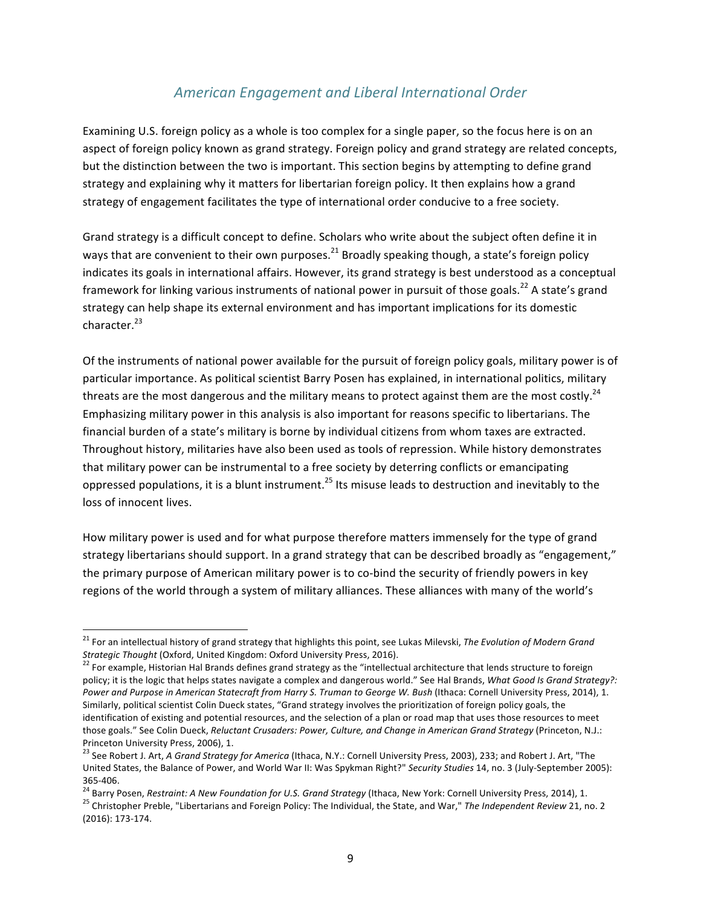#### *American Engagement and Liberal International Order*

Examining U.S. foreign policy as a whole is too complex for a single paper, so the focus here is on an aspect of foreign policy known as grand strategy. Foreign policy and grand strategy are related concepts, but the distinction between the two is important. This section begins by attempting to define grand strategy and explaining why it matters for libertarian foreign policy. It then explains how a grand strategy of engagement facilitates the type of international order conducive to a free society.

Grand strategy is a difficult concept to define. Scholars who write about the subject often define it in ways that are convenient to their own purposes.<sup>21</sup> Broadly speaking though, a state's foreign policy indicates its goals in international affairs. However, its grand strategy is best understood as a conceptual framework for linking various instruments of national power in pursuit of those goals.<sup>22</sup> A state's grand strategy can help shape its external environment and has important implications for its domestic character.<sup>23</sup>

Of the instruments of national power available for the pursuit of foreign policy goals, military power is of particular importance. As political scientist Barry Posen has explained, in international politics, military threats are the most dangerous and the military means to protect against them are the most costly.<sup>24</sup> Emphasizing military power in this analysis is also important for reasons specific to libertarians. The financial burden of a state's military is borne by individual citizens from whom taxes are extracted. Throughout history, militaries have also been used as tools of repression. While history demonstrates that military power can be instrumental to a free society by deterring conflicts or emancipating oppressed populations, it is a blunt instrument.<sup>25</sup> Its misuse leads to destruction and inevitably to the loss of innocent lives.

How military power is used and for what purpose therefore matters immensely for the type of grand strategy libertarians should support. In a grand strategy that can be described broadly as "engagement," the primary purpose of American military power is to co-bind the security of friendly powers in key regions of the world through a system of military alliances. These alliances with many of the world's

<sup>&</sup>lt;sup>21</sup> For an intellectual history of grand strategy that highlights this point, see Lukas Milevski, The Evolution of Modern Grand<br>Strategic Thought (Oxford, United Kingdom: Oxford University Press, 2016).

<sup>&</sup>lt;sup>22</sup> For example, Historian Hal Brands defines grand strategy as the "intellectual architecture that lends structure to foreign policy; it is the logic that helps states navigate a complex and dangerous world." See Hal Brands, *What Good Is Grand Strategy?*: Power and Purpose in American Statecraft from Harry S. Truman to George W. Bush (Ithaca: Cornell University Press, 2014), 1. Similarly, political scientist Colin Dueck states, "Grand strategy involves the prioritization of foreign policy goals, the identification of existing and potential resources, and the selection of a plan or road map that uses those resources to meet those goals." See Colin Dueck, *Reluctant Crusaders: Power, Culture, and Change in American Grand Strategy* (Princeton, N.J.: Princeton University Press, 2006), 1.

<sup>&</sup>lt;sup>23</sup> See Robert J. Art, *A Grand Strategy for America* (Ithaca, N.Y.: Cornell University Press, 2003), 233; and Robert J. Art, "The United States, the Balance of Power, and World War II: Was Spykman Right?" Security Studies 14, no. 3 (July-September 2005): 365-406.<br><sup>24</sup> Barry Posen, *Restraint: A New Foundation for U.S. Grand Strategy* (Ithaca, New York: Cornell University Press, 2014), 1.<br><sup>25</sup> Christopher Preble, "Libertarians and Foreign Policy: The Individual, the State,

<sup>(2016): 173-174.</sup>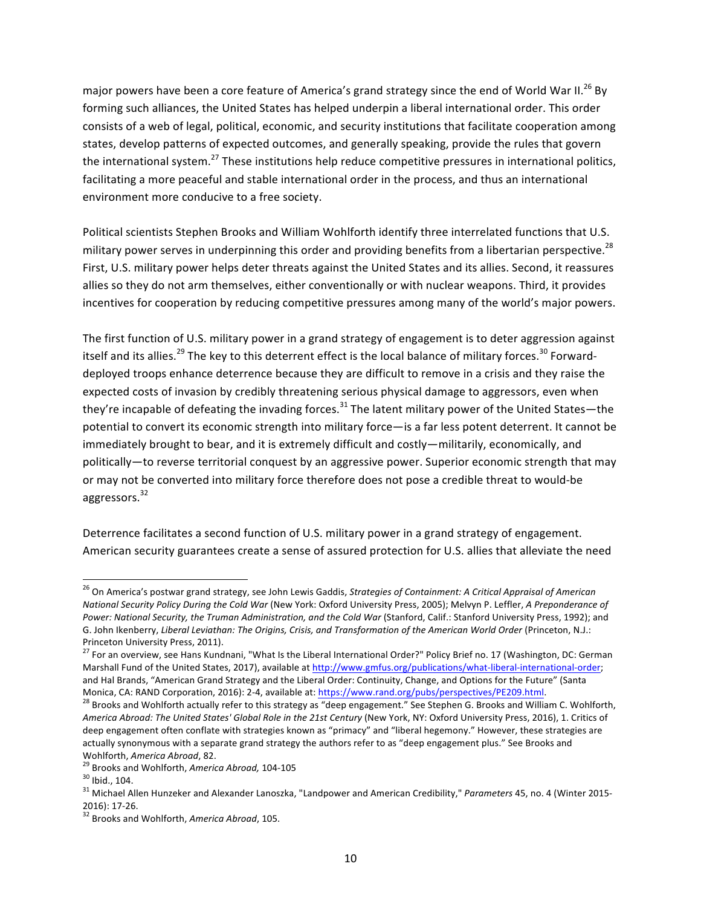major powers have been a core feature of America's grand strategy since the end of World War II.<sup>26</sup> By forming such alliances, the United States has helped underpin a liberal international order. This order consists of a web of legal, political, economic, and security institutions that facilitate cooperation among states, develop patterns of expected outcomes, and generally speaking, provide the rules that govern the international system.<sup>27</sup> These institutions help reduce competitive pressures in international politics, facilitating a more peaceful and stable international order in the process, and thus an international environment more conducive to a free society.

Political scientists Stephen Brooks and William Wohlforth identify three interrelated functions that U.S. military power serves in underpinning this order and providing benefits from a libertarian perspective.<sup>28</sup> First, U.S. military power helps deter threats against the United States and its allies. Second, it reassures allies so they do not arm themselves, either conventionally or with nuclear weapons. Third, it provides incentives for cooperation by reducing competitive pressures among many of the world's major powers.

The first function of U.S. military power in a grand strategy of engagement is to deter aggression against itself and its allies.<sup>29</sup> The key to this deterrent effect is the local balance of military forces.<sup>30</sup> Forwarddeployed troops enhance deterrence because they are difficult to remove in a crisis and they raise the expected costs of invasion by credibly threatening serious physical damage to aggressors, even when they're incapable of defeating the invading forces.<sup>31</sup> The latent military power of the United States—the potential to convert its economic strength into military force—is a far less potent deterrent. It cannot be immediately brought to bear, and it is extremely difficult and costly—militarily, economically, and politically—to reverse territorial conquest by an aggressive power. Superior economic strength that may or may not be converted into military force therefore does not pose a credible threat to would-be aggressors.<sup>32</sup>

Deterrence facilitates a second function of U.S. military power in a grand strategy of engagement. American security guarantees create a sense of assured protection for U.S. allies that alleviate the need

<sup>&</sup>lt;sup>26</sup> On America's postwar grand strategy, see John Lewis Gaddis, Strategies of Containment: A Critical Appraisal of American *National Security Policy During the Cold War (New York: Oxford University Press, 2005); Melvyn P. Leffler, A Preponderance of* Power: National Security, the Truman Administration, and the Cold War (Stanford, Calif.: Stanford University Press, 1992); and G. John Ikenberry, *Liberal Leviathan: The Origins, Crisis, and Transformation of the American World Order* (Princeton, N.J.: Princeton University Press, 2011).

<sup>&</sup>lt;sup>27</sup> For an overview, see Hans Kundnani, "What Is the Liberal International Order?" Policy Brief no. 17 (Washington, DC: German Marshall Fund of the United States, 2017), available at http://www.gmfus.org/publications/what-liberal-international-order; and Hal Brands, "American Grand Strategy and the Liberal Order: Continuity, Change, and Options for the Future" (Santa Monica, CA: RAND Corporation, 2016): 2-4, available at: https://www.rand.org/pubs/perspectives/PE209.html.<br><sup>28</sup> Brooks and Wohlforth actually refer to this strategy as "deep engagement." See Stephen G. Brooks and William C

*America Abroad: The United States' Global Role in the 21st Century* (New York, NY: Oxford University Press, 2016), 1. Critics of deep engagement often conflate with strategies known as "primacy" and "liberal hegemony." However, these strategies are actually synonymous with a separate grand strategy the authors refer to as "deep engagement plus." See Brooks and

Wohlforth, *America Abroad*, 82.<br><sup>29</sup> Brooks and Wohlforth, *America Abroad,* 104-105<br><sup>30</sup> Ibid., 104.<br><sup>31</sup> Michael Allen Hunzeker and Alexander Lanoszka, "Landpower and American Credibility," *Parameters* 45, no. 4 (Winte

<sup>&</sup>lt;sup>32</sup> Brooks and Wohlforth, *America Abroad*, 105.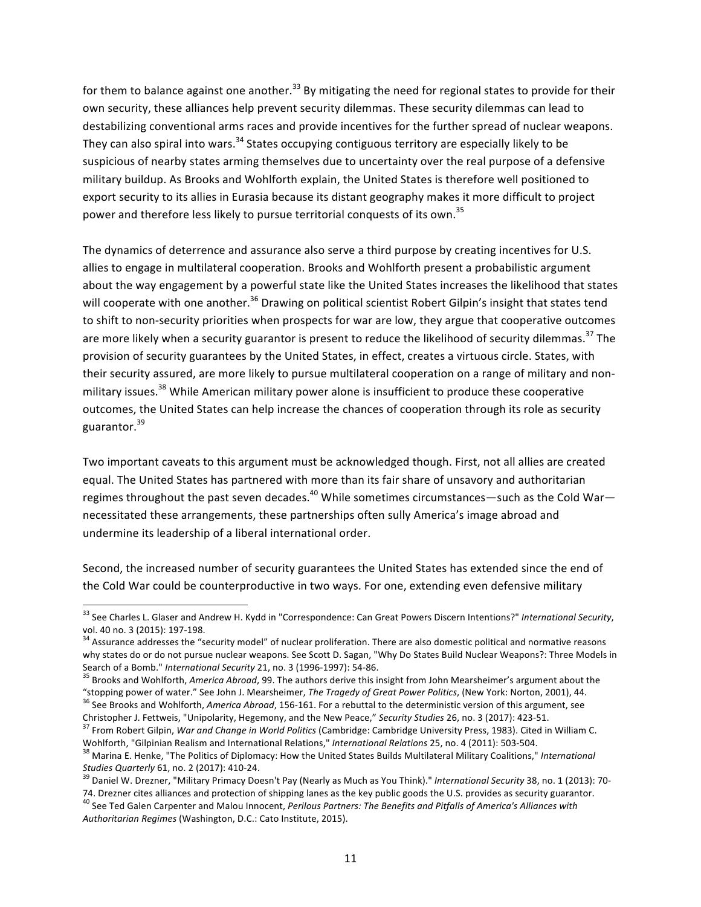for them to balance against one another.<sup>33</sup> By mitigating the need for regional states to provide for their own security, these alliances help prevent security dilemmas. These security dilemmas can lead to destabilizing conventional arms races and provide incentives for the further spread of nuclear weapons. They can also spiral into wars.<sup>34</sup> States occupying contiguous territory are especially likely to be suspicious of nearby states arming themselves due to uncertainty over the real purpose of a defensive military buildup. As Brooks and Wohlforth explain, the United States is therefore well positioned to export security to its allies in Eurasia because its distant geography makes it more difficult to project power and therefore less likely to pursue territorial conquests of its own.<sup>35</sup>

The dynamics of deterrence and assurance also serve a third purpose by creating incentives for U.S. allies to engage in multilateral cooperation. Brooks and Wohlforth present a probabilistic argument about the way engagement by a powerful state like the United States increases the likelihood that states will cooperate with one another.<sup>36</sup> Drawing on political scientist Robert Gilpin's insight that states tend to shift to non-security priorities when prospects for war are low, they argue that cooperative outcomes are more likely when a security guarantor is present to reduce the likelihood of security dilemmas.<sup>37</sup> The provision of security guarantees by the United States, in effect, creates a virtuous circle. States, with their security assured, are more likely to pursue multilateral cooperation on a range of military and nonmilitary issues.<sup>38</sup> While American military power alone is insufficient to produce these cooperative outcomes, the United States can help increase the chances of cooperation through its role as security guarantor.<sup>39</sup>

Two important caveats to this argument must be acknowledged though. First, not all allies are created equal. The United States has partnered with more than its fair share of unsavory and authoritarian regimes throughout the past seven decades.<sup>40</sup> While sometimes circumstances—such as the Cold War necessitated these arrangements, these partnerships often sully America's image abroad and undermine its leadership of a liberal international order.

Second, the increased number of security guarantees the United States has extended since the end of the Cold War could be counterproductive in two ways. For one, extending even defensive military

<sup>&</sup>lt;sup>33</sup> See Charles L. Glaser and Andrew H. Kydd in "Correspondence: Can Great Powers Discern Intentions?" *International Security,*<br>vol. 40 no. 3 (2015): 197-198.

<sup>&</sup>lt;sup>34</sup> Assurance addresses the "security model" of nuclear proliferation. There are also domestic political and normative reasons why states do or do not pursue nuclear weapons. See Scott D. Sagan, "Why Do States Build Nuclear Weapons?: Three Models in<br>Search of a Bomb." International Security 21, no. 3 (1996-1997): 54-86.

<sup>&</sup>lt;sup>35</sup> Brooks and Wohlforth, *America Abroad*, 99. The authors derive this insight from John Mearsheimer's argument about the<br>"stopping power of water." See John J. Mearsheimer, *The Tragedy of Great Power Politics*, (New Yo

<sup>&</sup>lt;sup>36</sup> See Brooks and Wohlforth, America Abroad, 156-161. For a rebuttal to the deterministic version of this argument, see

Christopher J. Fettweis, "Unipolarity, Hegemony, and the New Peace," Security Studies 26, no. 3 (2017): 423-51.<br><sup>37</sup> From Robert Gilpin, *War and Change in World Politics* (Cambridge: Cambridge University Press, 1983). Cit

<sup>&</sup>lt;sup>38</sup> Marina E. Henke, "The Politics of Diplomacy: How the United States Builds Multilateral Military Coalitions," *International* Studies Quarterly 61, no. 2 (2017): 410-24.

<sup>&</sup>lt;sup>39</sup> Daniel W. Drezner, "Military Primacy Doesn't Pay (Nearly as Much as You Think)." *International Security* 38, no. 1 (2013): 70-

<sup>74.</sup> Drezner cites alliances and protection of shipping lanes as the key public goods the U.S. provides as security guarantor.<br><sup>40</sup> See Ted Galen Carpenter and Malou Innocent, Perilous Partners: The Benefits and Pitfalls of Authoritarian Regimes (Washington, D.C.: Cato Institute, 2015).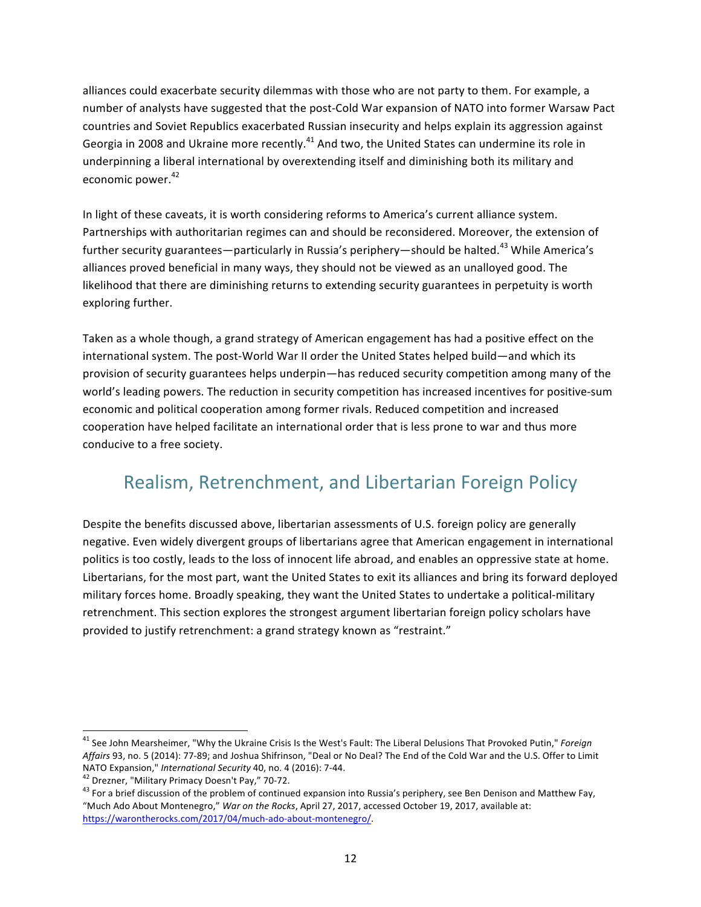alliances could exacerbate security dilemmas with those who are not party to them. For example, a number of analysts have suggested that the post-Cold War expansion of NATO into former Warsaw Pact countries and Soviet Republics exacerbated Russian insecurity and helps explain its aggression against Georgia in 2008 and Ukraine more recently.<sup>41</sup> And two, the United States can undermine its role in underpinning a liberal international by overextending itself and diminishing both its military and economic power. $42$ 

In light of these caveats, it is worth considering reforms to America's current alliance system. Partnerships with authoritarian regimes can and should be reconsidered. Moreover, the extension of further security guarantees—particularly in Russia's periphery—should be halted.<sup>43</sup> While America's alliances proved beneficial in many ways, they should not be viewed as an unalloyed good. The likelihood that there are diminishing returns to extending security guarantees in perpetuity is worth exploring further.

Taken as a whole though, a grand strategy of American engagement has had a positive effect on the international system. The post-World War II order the United States helped build—and which its provision of security guarantees helps underpin—has reduced security competition among many of the world's leading powers. The reduction in security competition has increased incentives for positive-sum economic and political cooperation among former rivals. Reduced competition and increased cooperation have helped facilitate an international order that is less prone to war and thus more conducive to a free society.

# Realism, Retrenchment, and Libertarian Foreign Policy

Despite the benefits discussed above, libertarian assessments of U.S. foreign policy are generally negative. Even widely divergent groups of libertarians agree that American engagement in international politics is too costly, leads to the loss of innocent life abroad, and enables an oppressive state at home. Libertarians, for the most part, want the United States to exit its alliances and bring its forward deployed military forces home. Broadly speaking, they want the United States to undertake a political-military retrenchment. This section explores the strongest argument libertarian foreign policy scholars have provided to justify retrenchment: a grand strategy known as "restraint."

<sup>&</sup>lt;sup>41</sup> See John Mearsheimer, "Why the Ukraine Crisis Is the West's Fault: The Liberal Delusions That Provoked Putin," *Foreign Affairs* 93, no. 5 (2014): 77-89; and Joshua Shifrinson, "Deal or No Deal? The End of the Cold War and the U.S. Offer to Limit NATO Expansion," *International Security* 40, no. 4 (2016): 7-44.

<sup>&</sup>lt;sup>42</sup> Drezner, "Military Primacy Doesn't Pay," 70-72.<br><sup>43</sup> For a brief discussion of the problem of continued expansion into Russia's periphery, see Ben Denison and Matthew Fay, "Much Ado About Montenegro," War on the Rocks, April 27, 2017, accessed October 19, 2017, available at: https://warontherocks.com/2017/04/much-ado-about-montenegro/.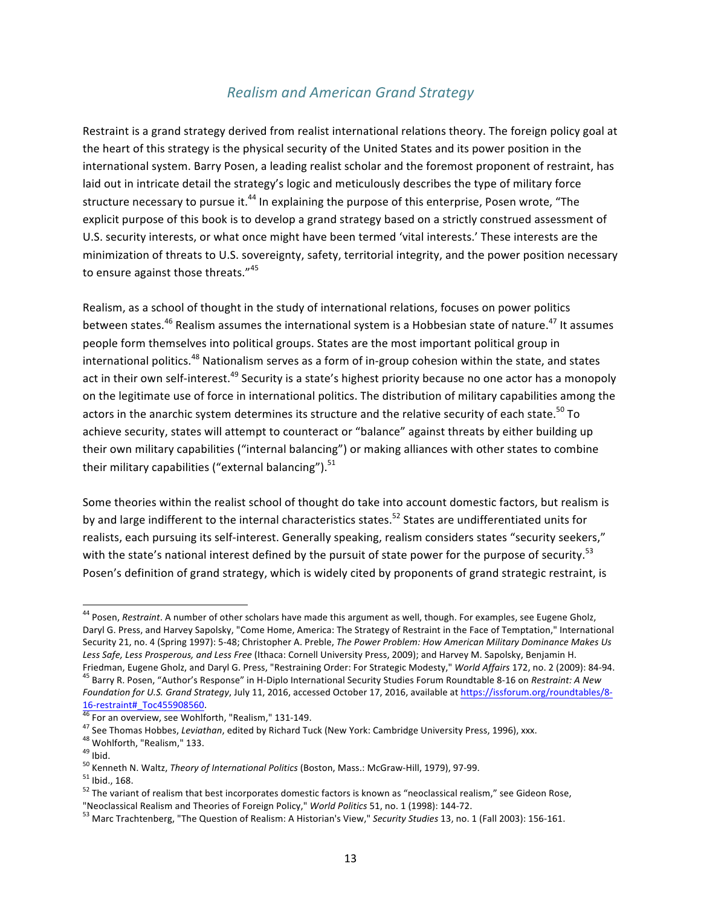#### *Realism and American Grand Strategy*

Restraint is a grand strategy derived from realist international relations theory. The foreign policy goal at the heart of this strategy is the physical security of the United States and its power position in the international system. Barry Posen, a leading realist scholar and the foremost proponent of restraint, has laid out in intricate detail the strategy's logic and meticulously describes the type of military force structure necessary to pursue it.<sup>44</sup> In explaining the purpose of this enterprise, Posen wrote, "The explicit purpose of this book is to develop a grand strategy based on a strictly construed assessment of U.S. security interests, or what once might have been termed 'vital interests.' These interests are the minimization of threats to U.S. sovereignty, safety, territorial integrity, and the power position necessary to ensure against those threats."<sup>45</sup>

Realism, as a school of thought in the study of international relations, focuses on power politics between states.<sup>46</sup> Realism assumes the international system is a Hobbesian state of nature.<sup>47</sup> It assumes people form themselves into political groups. States are the most important political group in international politics.<sup>48</sup> Nationalism serves as a form of in-group cohesion within the state, and states act in their own self-interest.<sup>49</sup> Security is a state's highest priority because no one actor has a monopoly on the legitimate use of force in international politics. The distribution of military capabilities among the actors in the anarchic system determines its structure and the relative security of each state.<sup>50</sup> To achieve security, states will attempt to counteract or "balance" against threats by either building up their own military capabilities ("internal balancing") or making alliances with other states to combine their military capabilities ("external balancing"). $51$ 

Some theories within the realist school of thought do take into account domestic factors, but realism is by and large indifferent to the internal characteristics states.<sup>52</sup> States are undifferentiated units for realists, each pursuing its self-interest. Generally speaking, realism considers states "security seekers," with the state's national interest defined by the pursuit of state power for the purpose of security.<sup>53</sup> Posen's definition of grand strategy, which is widely cited by proponents of grand strategic restraint, is

<sup>&</sup>lt;sup>44</sup> Posen, *Restraint*. A number of other scholars have made this argument as well, though. For examples, see Eugene Gholz, Daryl G. Press, and Harvey Sapolsky, "Come Home, America: The Strategy of Restraint in the Face of Temptation," International Security 21, no. 4 (Spring 1997): 5-48; Christopher A. Preble, *The Power Problem: How American Military Dominance Makes Us* Less Safe, Less Prosperous, and Less Free (Ithaca: Cornell University Press, 2009); and Harvey M. Sapolsky, Benjamin H.<br>Friedman, Eugene Gholz, and Daryl G. Press, "Restraining Order: For Strategic Modesty," World Affairs <sup>45</sup> Barry R. Posen, "Author's Response" in H-Diplo International Security Studies Forum Roundtable 8-16 on Restraint: A New *Foundation for U.S. Grand Strategy, July 11, 2016, accessed October 17, 2016, available at https://issforum.org/roundtables/8-*

<sup>&</sup>lt;sup>16</sup> For an overview, see Wohlforth, "Realism," 131-149.<br><sup>46</sup> For an overview, see Wohlforth, "Realism," 131-149.<br><sup>47</sup> See Thomas Hobbes, *Leviathan*, edited by Richard Tuck (New York: Cambridge University Press, 1996), xx

<sup>&</sup>lt;sup>53</sup> Marc Trachtenberg, "The Question of Realism: A Historian's View," Security Studies 13, no. 1 (Fall 2003): 156-161.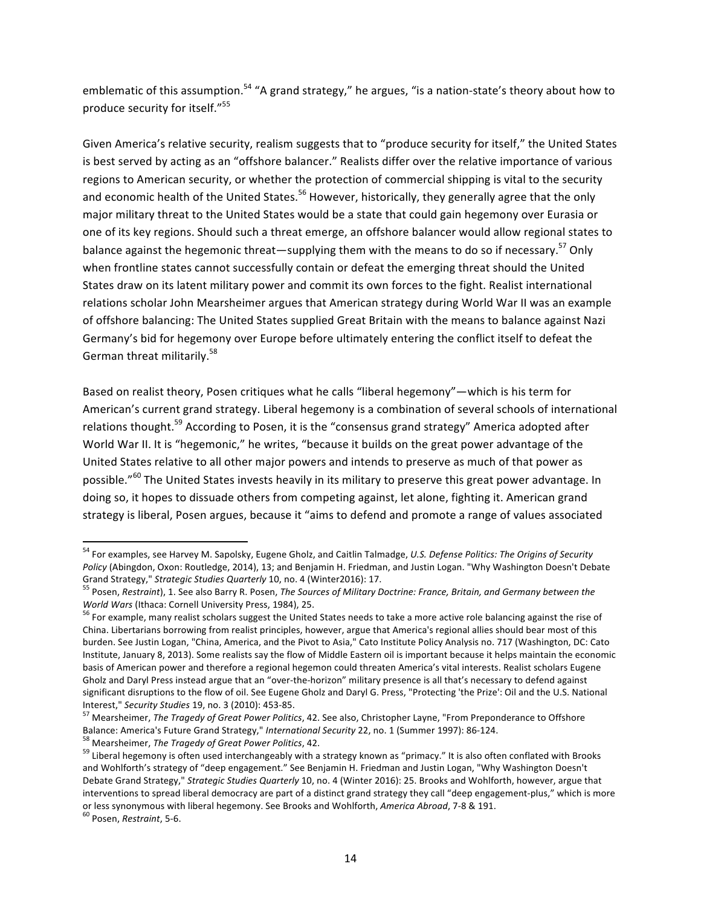emblematic of this assumption.<sup>54</sup> "A grand strategy," he argues, "is a nation-state's theory about how to produce security for itself."<sup>55</sup>

Given America's relative security, realism suggests that to "produce security for itself," the United States is best served by acting as an "offshore balancer." Realists differ over the relative importance of various regions to American security, or whether the protection of commercial shipping is vital to the security and economic health of the United States.<sup>56</sup> However, historically, they generally agree that the only major military threat to the United States would be a state that could gain hegemony over Eurasia or one of its key regions. Should such a threat emerge, an offshore balancer would allow regional states to balance against the hegemonic threat—supplying them with the means to do so if necessary.<sup>57</sup> Only when frontline states cannot successfully contain or defeat the emerging threat should the United States draw on its latent military power and commit its own forces to the fight. Realist international relations scholar John Mearsheimer argues that American strategy during World War II was an example of offshore balancing: The United States supplied Great Britain with the means to balance against Nazi Germany's bid for hegemony over Europe before ultimately entering the conflict itself to defeat the German threat militarily.<sup>58</sup>

Based on realist theory, Posen critiques what he calls "liberal hegemony"—which is his term for American's current grand strategy. Liberal hegemony is a combination of several schools of international relations thought.<sup>59</sup> According to Posen, it is the "consensus grand strategy" America adopted after World War II. It is "hegemonic," he writes, "because it builds on the great power advantage of the United States relative to all other major powers and intends to preserve as much of that power as possible."<sup>60</sup> The United States invests heavily in its military to preserve this great power advantage. In doing so, it hopes to dissuade others from competing against, let alone, fighting it. American grand strategy is liberal, Posen argues, because it "aims to defend and promote a range of values associated

<sup>&</sup>lt;sup>54</sup> For examples, see Harvey M. Sapolsky, Eugene Gholz, and Caitlin Talmadge, *U.S. Defense Politics: The Origins of Security Policy* (Abingdon, Oxon: Routledge, 2014), 13; and Benjamin H. Friedman, and Justin Logan. "Why Washington Doesn't Debate<br>Grand Strategy," Strategic Studies Quarterly 10, no. 4 (Winter2016): 17.

<sup>&</sup>lt;sup>55</sup> Posen, Restraint), 1. See also Barry R. Posen, The Sources of Military Doctrine: France, Britain, and Germany between the *World Wars* (Ithaca: Cornell University Press, 1984), 25. *igneralies* to take a more active role balancing against the rise of solution of the the rise of solutions of procession and reads the rise of solutions of the ri

China. Libertarians borrowing from realist principles, however, argue that America's regional allies should bear most of this burden. See Justin Logan, "China, America, and the Pivot to Asia," Cato Institute Policy Analysis no. 717 (Washington, DC: Cato Institute, January 8, 2013). Some realists say the flow of Middle Eastern oil is important because it helps maintain the economic basis of American power and therefore a regional hegemon could threaten America's vital interests. Realist scholars Eugene Gholz and Daryl Press instead argue that an "over-the-horizon" military presence is all that's necessary to defend against significant disruptions to the flow of oil. See Eugene Gholz and Daryl G. Press, "Protecting 'the Prize': Oil and the U.S. National

Interest," *Security Studies* 19, no. 3 (2010): 453-85.<br><sup>57</sup> Mearsheimer, *The Tragedy of Great Power Politics*, 42. See also, Christopher Layne, "From Preponderance to Offshore<br>Balance: America's Future Grand Strategy,"

<sup>&</sup>lt;sup>58</sup> Mearsheimer, *The Tragedy of Great Power Politics*, 42.<br><sup>59</sup> Liberal hegemony is often used interchangeably with a strategy known as "primacy." It is also often conflated with Brooks and Wohlforth's strategy of "deep engagement." See Benjamin H. Friedman and Justin Logan, "Why Washington Doesn't Debate Grand Strategy," Strategic Studies Quarterly 10, no. 4 (Winter 2016): 25. Brooks and Wohlforth, however, argue that interventions to spread liberal democracy are part of a distinct grand strategy they call "deep engagement-plus," which is more or less synonymous with liberal hegemony. See Brooks and Wohlforth, *America Abroad*, 7-8 & 191. <sup>60</sup> Posen, *Restraint*, 5-6.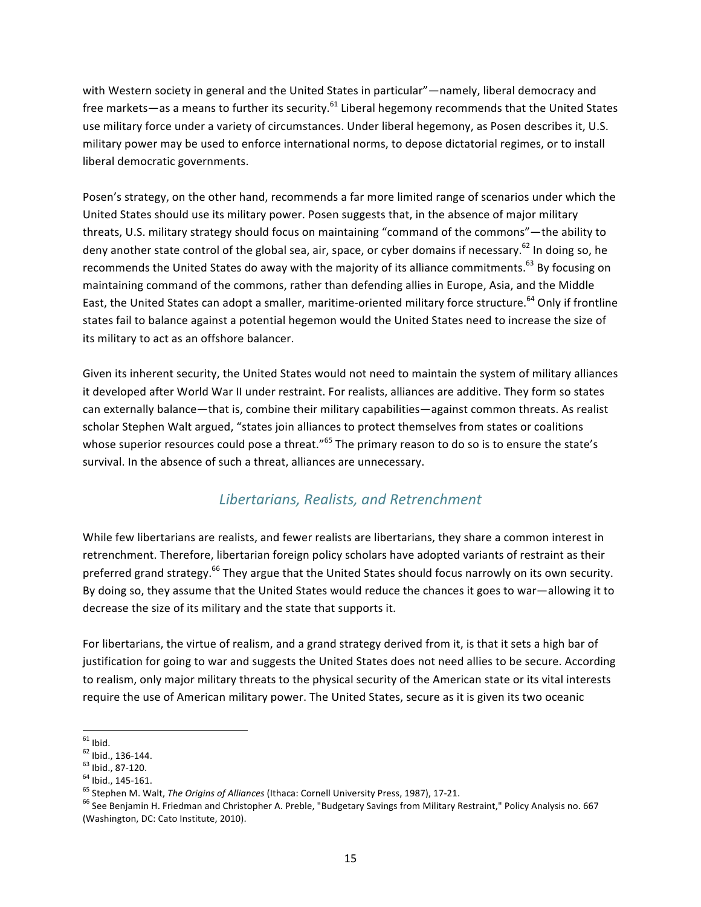with Western society in general and the United States in particular"—namely, liberal democracy and free markets—as a means to further its security.<sup>61</sup> Liberal hegemony recommends that the United States use military force under a variety of circumstances. Under liberal hegemony, as Posen describes it, U.S. military power may be used to enforce international norms, to depose dictatorial regimes, or to install liberal democratic governments.

Posen's strategy, on the other hand, recommends a far more limited range of scenarios under which the United States should use its military power. Posen suggests that, in the absence of major military threats, U.S. military strategy should focus on maintaining "command of the commons"—the ability to deny another state control of the global sea, air, space, or cyber domains if necessary.<sup>62</sup> In doing so, he recommends the United States do away with the majority of its alliance commitments.<sup>63</sup> By focusing on maintaining command of the commons, rather than defending allies in Europe, Asia, and the Middle East, the United States can adopt a smaller, maritime-oriented military force structure.<sup>64</sup> Only if frontline states fail to balance against a potential hegemon would the United States need to increase the size of its military to act as an offshore balancer.

Given its inherent security, the United States would not need to maintain the system of military alliances it developed after World War II under restraint. For realists, alliances are additive. They form so states can externally balance—that is, combine their military capabilities—against common threats. As realist scholar Stephen Walt argued, "states join alliances to protect themselves from states or coalitions whose superior resources could pose a threat."<sup>65</sup> The primary reason to do so is to ensure the state's survival. In the absence of such a threat, alliances are unnecessary.

#### *Libertarians, Realists, and Retrenchment*

While few libertarians are realists, and fewer realists are libertarians, they share a common interest in retrenchment. Therefore, libertarian foreign policy scholars have adopted variants of restraint as their preferred grand strategy.<sup>66</sup> They argue that the United States should focus narrowly on its own security. By doing so, they assume that the United States would reduce the chances it goes to war—allowing it to decrease the size of its military and the state that supports it.

For libertarians, the virtue of realism, and a grand strategy derived from it, is that it sets a high bar of justification for going to war and suggests the United States does not need allies to be secure. According to realism, only major military threats to the physical security of the American state or its vital interests require the use of American military power. The United States, secure as it is given its two oceanic

<sup>&</sup>lt;sup>61</sup> Ibid.<br><sup>62</sup> Ibid., 136-144.<br><sup>63</sup> Ibid., 87-120.<br><sup>64</sup> Ibid., 145-161.<br><sup>65</sup> Stephen M. Walt, *The Origins of Alliances* (Ithaca: Cornell University Press, 1987), 17-21.<br><sup>65</sup> See Benjamin H. Friedman and Christopher A. P (Washington, DC: Cato Institute, 2010).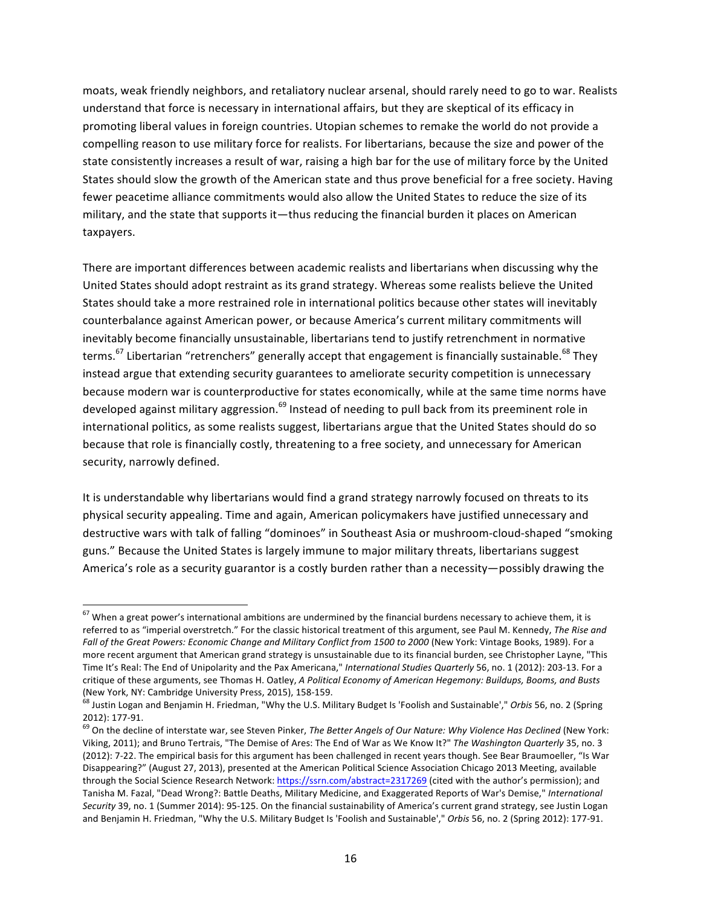moats, weak friendly neighbors, and retaliatory nuclear arsenal, should rarely need to go to war. Realists understand that force is necessary in international affairs, but they are skeptical of its efficacy in promoting liberal values in foreign countries. Utopian schemes to remake the world do not provide a compelling reason to use military force for realists. For libertarians, because the size and power of the state consistently increases a result of war, raising a high bar for the use of military force by the United States should slow the growth of the American state and thus prove beneficial for a free society. Having fewer peacetime alliance commitments would also allow the United States to reduce the size of its military, and the state that supports it—thus reducing the financial burden it places on American taxpayers.

There are important differences between academic realists and libertarians when discussing why the United States should adopt restraint as its grand strategy. Whereas some realists believe the United States should take a more restrained role in international politics because other states will inevitably counterbalance against American power, or because America's current military commitments will inevitably become financially unsustainable, libertarians tend to justify retrenchment in normative terms.<sup>67</sup> Libertarian "retrenchers" generally accept that engagement is financially sustainable.<sup>68</sup> They instead argue that extending security guarantees to ameliorate security competition is unnecessary because modern war is counterproductive for states economically, while at the same time norms have developed against military aggression.<sup>69</sup> Instead of needing to pull back from its preeminent role in international politics, as some realists suggest, libertarians argue that the United States should do so because that role is financially costly, threatening to a free society, and unnecessary for American security, narrowly defined.

It is understandable why libertarians would find a grand strategy narrowly focused on threats to its physical security appealing. Time and again, American policymakers have justified unnecessary and destructive wars with talk of falling "dominoes" in Southeast Asia or mushroom-cloud-shaped "smoking guns." Because the United States is largely immune to major military threats, libertarians suggest America's role as a security guarantor is a costly burden rather than a necessity—possibly drawing the

 $67$  When a great power's international ambitions are undermined by the financial burdens necessary to achieve them, it is referred to as "imperial overstretch." For the classic historical treatment of this argument, see Paul M. Kennedy, The Rise and Fall of the Great Powers: Economic Change and Military Conflict from 1500 to 2000 (New York: Vintage Books, 1989). For a more recent argument that American grand strategy is unsustainable due to its financial burden, see Christopher Layne, "This Time It's Real: The End of Unipolarity and the Pax Americana," *International Studies Quarterly* 56, no. 1 (2012): 203-13. For a critique of these arguments, see Thomas H. Oatley, *A Political Economy of American Hegemony: Buildups, Booms, and Busts* 

<sup>(</sup>New York, NY: Cambridge University Press, 2015), 158-159.<br><sup>68</sup> Justin Logan and Benjamin H. Friedman, "Why the U.S. Military Budget Is 'Foolish and Sustainable'," *Orbis* 56, no. 2 (Spring 2012): 177-91.<br><sup>69</sup> On the decline of interstate war, see Steven Pinker, *The Better Angels of Our Nature: Why Violence Has Declined* (New York:

Viking, 2011); and Bruno Tertrais, "The Demise of Ares: The End of War as We Know It?" The Washington Quarterly 35, no. 3 (2012): 7-22. The empirical basis for this argument has been challenged in recent years though. See Bear Braumoeller, "Is War Disappearing?" (August 27, 2013), presented at the American Political Science Association Chicago 2013 Meeting, available through the Social Science Research Network: https://ssrn.com/abstract=2317269 (cited with the author's permission); and Tanisha M. Fazal, "Dead Wrong?: Battle Deaths, Military Medicine, and Exaggerated Reports of War's Demise," International Security 39, no. 1 (Summer 2014): 95-125. On the financial sustainability of America's current grand strategy, see Justin Logan and Benjamin H. Friedman, "Why the U.S. Military Budget Is 'Foolish and Sustainable'," Orbis 56, no. 2 (Spring 2012): 177-91.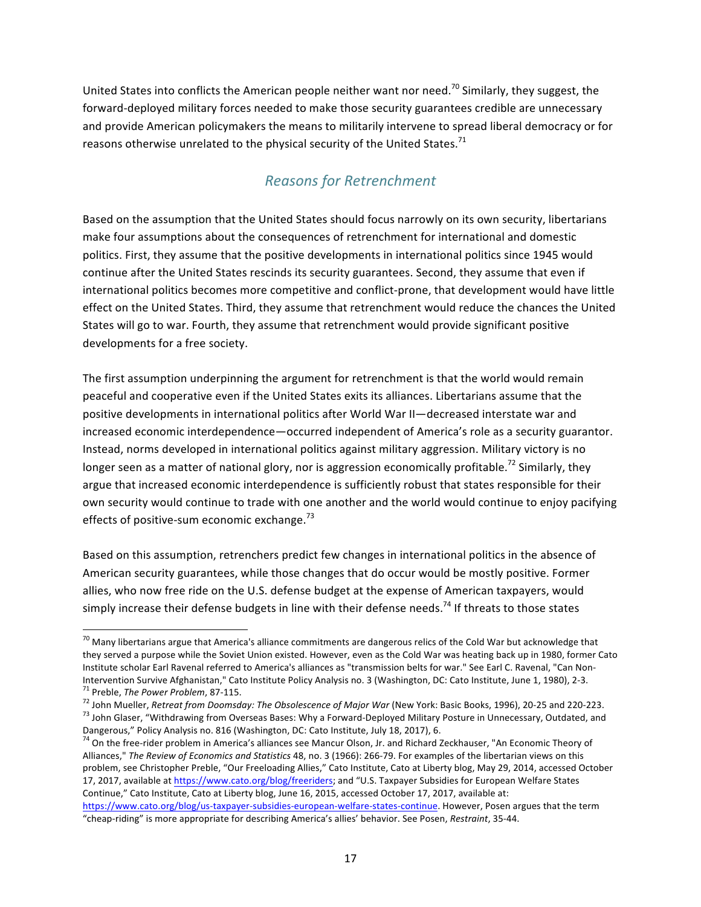United States into conflicts the American people neither want nor need.<sup>70</sup> Similarly, they suggest, the forward-deployed military forces needed to make those security guarantees credible are unnecessary and provide American policymakers the means to militarily intervene to spread liberal democracy or for reasons otherwise unrelated to the physical security of the United States.<sup>71</sup>

### *Reasons for Retrenchment*

Based on the assumption that the United States should focus narrowly on its own security, libertarians make four assumptions about the consequences of retrenchment for international and domestic politics. First, they assume that the positive developments in international politics since 1945 would continue after the United States rescinds its security guarantees. Second, they assume that even if international politics becomes more competitive and conflict-prone, that development would have little effect on the United States. Third, they assume that retrenchment would reduce the chances the United States will go to war. Fourth, they assume that retrenchment would provide significant positive developments for a free society.

The first assumption underpinning the argument for retrenchment is that the world would remain peaceful and cooperative even if the United States exits its alliances. Libertarians assume that the positive developments in international politics after World War II—decreased interstate war and increased economic interdependence—occurred independent of America's role as a security guarantor. Instead, norms developed in international politics against military aggression. Military victory is no longer seen as a matter of national glory, nor is aggression economically profitable.<sup>72</sup> Similarly, they argue that increased economic interdependence is sufficiently robust that states responsible for their own security would continue to trade with one another and the world would continue to enjoy pacifying effects of positive-sum economic exchange.<sup>73</sup>

Based on this assumption, retrenchers predict few changes in international politics in the absence of American security guarantees, while those changes that do occur would be mostly positive. Former allies, who now free ride on the U.S. defense budget at the expense of American taxpayers, would simply increase their defense budgets in line with their defense needs.<sup>74</sup> If threats to those states

 $70$  Many libertarians argue that America's alliance commitments are dangerous relics of the Cold War but acknowledge that they served a purpose while the Soviet Union existed. However, even as the Cold War was heating back up in 1980, former Cato Institute scholar Earl Ravenal referred to America's alliances as "transmission belts for war." See Earl C. Ravenal, "Can Non-

Intervention Survive Afghanistan," Cato Institute Policy Analysis no. 3 (Washington, DC: Cato Institute, June 1, 1980), 2-3.<br><sup>71</sup> Preble, *The Power Problem*, 87-115.<br><sup>72</sup> John Mueller, *Retreat from Doomsday: The Obsolesc* Dangerous," Policy Analysis no. 816 (Washington, DC: Cato Institute, July 18, 2017), 6.

 $74$  On the free-rider problem in America's alliances see Mancur Olson, Jr. and Richard Zeckhauser, "An Economic Theory of Alliances," The Review of Economics and Statistics 48, no. 3 (1966): 266-79. For examples of the libertarian views on this problem, see Christopher Preble, "Our Freeloading Allies," Cato Institute, Cato at Liberty blog, May 29, 2014, accessed October 17, 2017, available at https://www.cato.org/blog/freeriders; and "U.S. Taxpayer Subsidies for European Welfare States Continue," Cato Institute, Cato at Liberty blog, June 16, 2015, accessed October 17, 2017, available at: https://www.cato.org/blog/us-taxpayer-subsidies-european-welfare-states-continue. However, Posen argues that the term

<sup>&</sup>quot;cheap-riding" is more appropriate for describing America's allies' behavior. See Posen, Restraint, 35-44.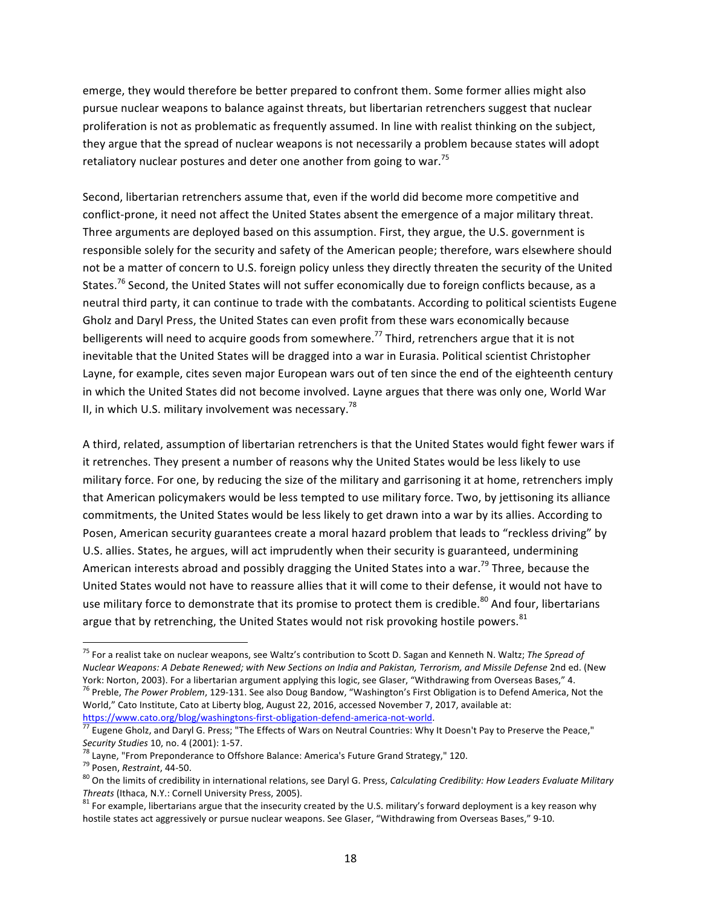emerge, they would therefore be better prepared to confront them. Some former allies might also pursue nuclear weapons to balance against threats, but libertarian retrenchers suggest that nuclear proliferation is not as problematic as frequently assumed. In line with realist thinking on the subject, they argue that the spread of nuclear weapons is not necessarily a problem because states will adopt retaliatory nuclear postures and deter one another from going to war.<sup>75</sup>

Second, libertarian retrenchers assume that, even if the world did become more competitive and conflict-prone, it need not affect the United States absent the emergence of a major military threat. Three arguments are deployed based on this assumption. First, they argue, the U.S. government is responsible solely for the security and safety of the American people; therefore, wars elsewhere should not be a matter of concern to U.S. foreign policy unless they directly threaten the security of the United States.<sup>76</sup> Second, the United States will not suffer economically due to foreign conflicts because, as a neutral third party, it can continue to trade with the combatants. According to political scientists Eugene Gholz and Daryl Press, the United States can even profit from these wars economically because belligerents will need to acquire goods from somewhere.<sup>77</sup> Third, retrenchers argue that it is not inevitable that the United States will be dragged into a war in Eurasia. Political scientist Christopher Layne, for example, cites seven major European wars out of ten since the end of the eighteenth century in which the United States did not become involved. Layne argues that there was only one, World War II, in which U.S. military involvement was necessary.<sup>78</sup>

A third, related, assumption of libertarian retrenchers is that the United States would fight fewer wars if it retrenches. They present a number of reasons why the United States would be less likely to use military force. For one, by reducing the size of the military and garrisoning it at home, retrenchers imply that American policymakers would be less tempted to use military force. Two, by jettisoning its alliance commitments, the United States would be less likely to get drawn into a war by its allies. According to Posen, American security guarantees create a moral hazard problem that leads to "reckless driving" by U.S. allies. States, he argues, will act imprudently when their security is guaranteed, undermining American interests abroad and possibly dragging the United States into a war.<sup>79</sup> Three, because the United States would not have to reassure allies that it will come to their defense, it would not have to use military force to demonstrate that its promise to protect them is credible.<sup>80</sup> And four, libertarians argue that by retrenching, the United States would not risk provoking hostile powers. $81$ 

<sup>&</sup>lt;sup>75</sup> For a realist take on nuclear weapons, see Waltz's contribution to Scott D. Sagan and Kenneth N. Waltz; The Spread of *Nuclear Weapons: A Debate Renewed; with New Sections on India and Pakistan, Terrorism, and Missile Defense* 2nd ed. (New York: Norton, 2003). For a libertarian argument applying this logic, see Glaser, "Withdrawing from Overseas Bases," 4. <sup>76</sup> Preble, *The Power Problem*, 129-131. See also Doug Bandow, "Washington's First Obligation is to Defend America, Not the World," Cato Institute, Cato at Liberty blog, August 22, 2016, accessed November 7, 2017, available at:

https://www.cato.org/blog/washingtons-first-obligation-defend-america-not-world.<br><sup>77</sup> Eugene Gholz, and Daryl G. Press; "The Effects of Wars on Neutral Countries: Why It Doesn't Pay to Preserve the Peace,"

Security Studies 10, no. 4 (2001): 1-57.<br><sup>78</sup> Layne, "From Preponderance to Offshore Balance: America's Future Grand Strategy," 120.<br><sup>79</sup> Posen, *Restraint*, 44-50.<br><sup>80</sup> On the limits of credibility in international relati

<sup>&</sup>lt;sup>81</sup> For example, libertarians argue that the insecurity created by the U.S. military's forward deployment is a key reason why hostile states act aggressively or pursue nuclear weapons. See Glaser, "Withdrawing from Overseas Bases," 9-10.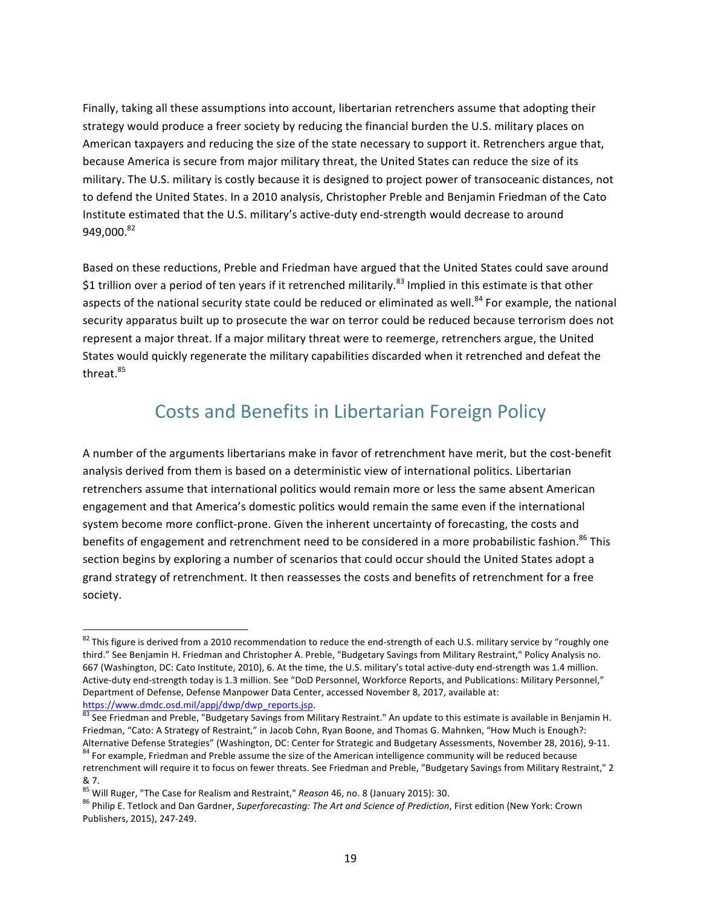Finally, taking all these assumptions into account, libertarian retrenchers assume that adopting their strategy would produce a freer society by reducing the financial burden the U.S. military places on American taxpayers and reducing the size of the state necessary to support it. Retrenchers argue that, because America is secure from major military threat, the United States can reduce the size of its military. The U.S. military is costly because it is designed to project power of transoceanic distances, not to defend the United States. In a 2010 analysis, Christopher Preble and Benjamin Friedman of the Cato Institute estimated that the U.S. military's active-duty end-strength would decrease to around 949.000.<sup>82</sup>

Based on these reductions, Preble and Friedman have argued that the United States could save around \$1 trillion over a period of ten years if it retrenched militarily.<sup>83</sup> Implied in this estimate is that other aspects of the national security state could be reduced or eliminated as well.<sup>84</sup> For example, the national security apparatus built up to prosecute the war on terror could be reduced because terrorism does not represent a major threat. If a major military threat were to reemerge, retrenchers argue, the United States would quickly regenerate the military capabilities discarded when it retrenched and defeat the threat.<sup>85</sup>

### Costs and Benefits in Libertarian Foreign Policy

A number of the arguments libertarians make in favor of retrenchment have merit, but the cost-benefit analysis derived from them is based on a deterministic view of international politics. Libertarian retrenchers assume that international politics would remain more or less the same absent American engagement and that America's domestic politics would remain the same even if the international system become more conflict-prone. Given the inherent uncertainty of forecasting, the costs and benefits of engagement and retrenchment need to be considered in a more probabilistic fashion.<sup>86</sup> This section begins by exploring a number of scenarios that could occur should the United States adopt a grand strategy of retrenchment. It then reassesses the costs and benefits of retrenchment for a free society.

 $82$  This figure is derived from a 2010 recommendation to reduce the end-strength of each U.S. military service by "roughly one third." See Benjamin H. Friedman and Christopher A. Preble, "Budgetary Savings from Military Restraint," Policy Analysis no. 667 (Washington, DC: Cato Institute, 2010), 6. At the time, the U.S. military's total active-duty end-strength was 1.4 million. Active-duty end-strength today is 1.3 million. See "DoD Personnel, Workforce Reports, and Publications: Military Personnel," Department of Defense, Defense Manpower Data Center, accessed November 8, 2017, available at:

https://www.dmdc.osd.mil/appj/dwp/dwp\_reports.jsp.<br><sup>83</sup> See Friedman and Preble, "Budgetary Savings from Military Restraint." An update to this estimate is available in Benjamin H. Friedman, "Cato: A Strategy of Restraint," in Jacob Cohn, Ryan Boone, and Thomas G. Mahnken, "How Much is Enough?:<br>Alternative Defense Strategies" (Washington, DC: Center for Strategic and Budgetary Assessments, November 2

<sup>84</sup> For example, Friedman and Preble assume the size of the American intelligence community will be reduced because retrenchment will require it to focus on fewer threats. See Friedman and Preble, "Budgetary Savings from Military Restraint," 2 & 7.<br><sup>85</sup> Will Ruger, "The Case for Realism and Restraint," *Reason* 46, no. 8 (January 2015): 30.

<sup>&</sup>lt;sup>86</sup> Philip E. Tetlock and Dan Gardner, Superforecasting: The Art and Science of Prediction, First edition (New York: Crown Publishers, 2015), 247-249.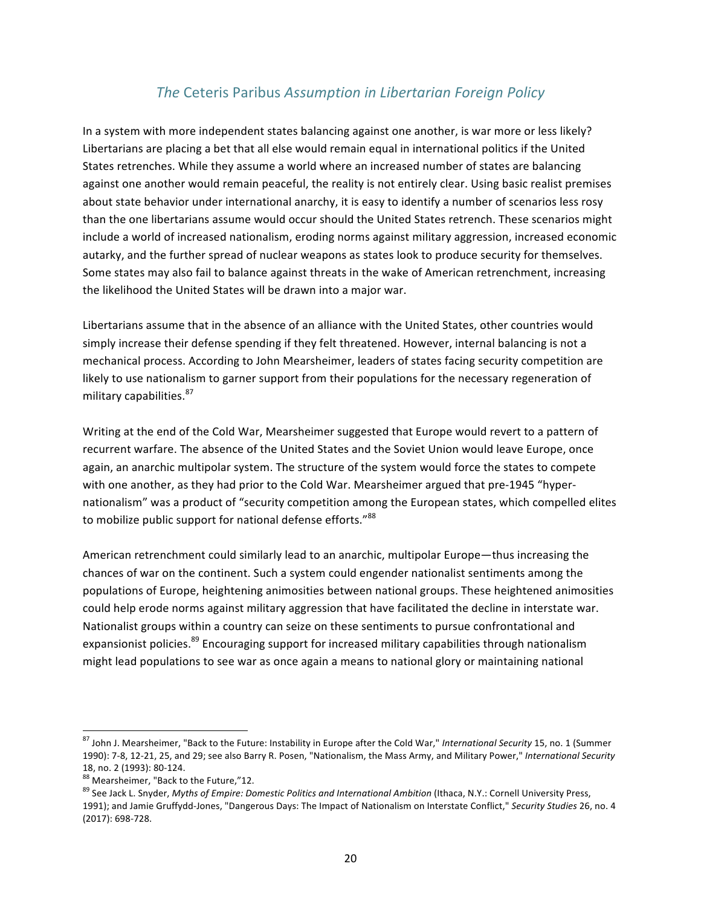#### **The Ceteris Paribus Assumption in Libertarian Foreign Policy**

In a system with more independent states balancing against one another, is war more or less likely? Libertarians are placing a bet that all else would remain equal in international politics if the United States retrenches. While they assume a world where an increased number of states are balancing against one another would remain peaceful, the reality is not entirely clear. Using basic realist premises about state behavior under international anarchy, it is easy to identify a number of scenarios less rosy than the one libertarians assume would occur should the United States retrench. These scenarios might include a world of increased nationalism, eroding norms against military aggression, increased economic autarky, and the further spread of nuclear weapons as states look to produce security for themselves. Some states may also fail to balance against threats in the wake of American retrenchment, increasing the likelihood the United States will be drawn into a major war.

Libertarians assume that in the absence of an alliance with the United States, other countries would simply increase their defense spending if they felt threatened. However, internal balancing is not a mechanical process. According to John Mearsheimer, leaders of states facing security competition are likely to use nationalism to garner support from their populations for the necessary regeneration of military capabilities.<sup>87</sup>

Writing at the end of the Cold War, Mearsheimer suggested that Europe would revert to a pattern of recurrent warfare. The absence of the United States and the Soviet Union would leave Europe, once again, an anarchic multipolar system. The structure of the system would force the states to compete with one another, as they had prior to the Cold War. Mearsheimer argued that pre-1945 "hypernationalism" was a product of "security competition among the European states, which compelled elites to mobilize public support for national defense efforts."<sup>88</sup>

American retrenchment could similarly lead to an anarchic, multipolar Europe—thus increasing the chances of war on the continent. Such a system could engender nationalist sentiments among the populations of Europe, heightening animosities between national groups. These heightened animosities could help erode norms against military aggression that have facilitated the decline in interstate war. Nationalist groups within a country can seize on these sentiments to pursue confrontational and expansionist policies.<sup>89</sup> Encouraging support for increased military capabilities through nationalism might lead populations to see war as once again a means to national glory or maintaining national

<sup>87</sup> John J. Mearsheimer, "Back to the Future: Instability in Europe after the Cold War," *International Security* 15, no. 1 (Summer 1990): 7-8, 12-21, 25, and 29; see also Barry R. Posen, "Nationalism, the Mass Army, and Military Power," *International Security* 

<sup>18,</sup> no. 2 (1993): 80-124.<br><sup>88</sup> Mearsheimer, "Back to the Future,"12.<br><sup>89</sup> See Jack L. Snyder, *Myths of Empire: Domestic Politics and International Ambition* (Ithaca, N.Y.: Cornell University Press, 1991); and Jamie Gruffydd-Jones, "Dangerous Days: The Impact of Nationalism on Interstate Conflict," Security Studies 26, no. 4 (2017): 698-728.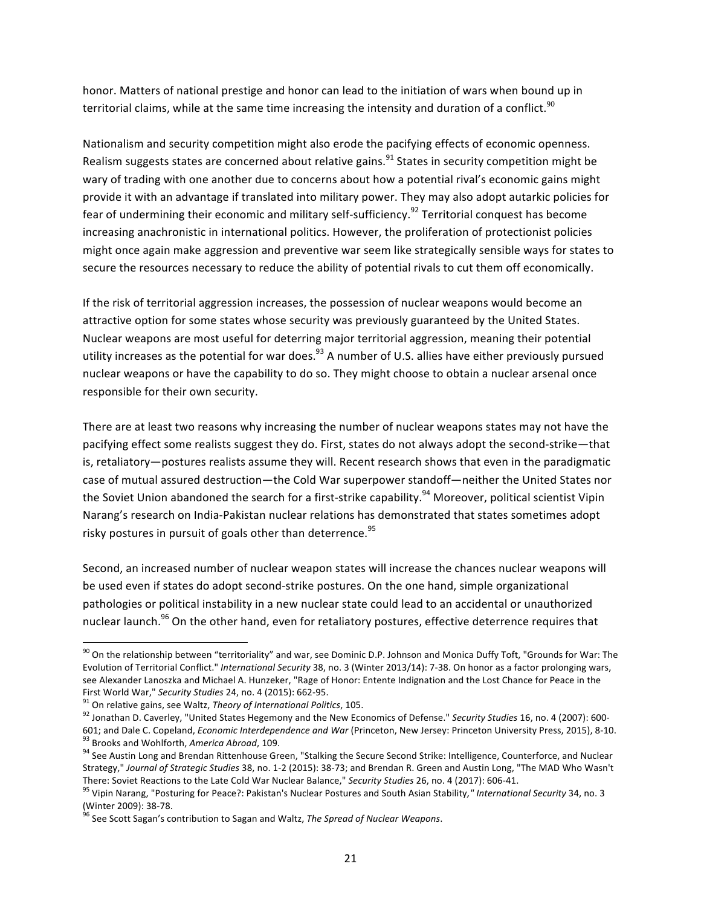honor. Matters of national prestige and honor can lead to the initiation of wars when bound up in territorial claims, while at the same time increasing the intensity and duration of a conflict.<sup>90</sup>

Nationalism and security competition might also erode the pacifying effects of economic openness. Realism suggests states are concerned about relative gains.<sup>91</sup> States in security competition might be wary of trading with one another due to concerns about how a potential rival's economic gains might provide it with an advantage if translated into military power. They may also adopt autarkic policies for fear of undermining their economic and military self-sufficiency.<sup>92</sup> Territorial conquest has become increasing anachronistic in international politics. However, the proliferation of protectionist policies might once again make aggression and preventive war seem like strategically sensible ways for states to secure the resources necessary to reduce the ability of potential rivals to cut them off economically.

If the risk of territorial aggression increases, the possession of nuclear weapons would become an attractive option for some states whose security was previously guaranteed by the United States. Nuclear weapons are most useful for deterring major territorial aggression, meaning their potential utility increases as the potential for war does.<sup>93</sup> A number of U.S. allies have either previously pursued nuclear weapons or have the capability to do so. They might choose to obtain a nuclear arsenal once responsible for their own security.

There are at least two reasons why increasing the number of nuclear weapons states may not have the pacifying effect some realists suggest they do. First, states do not always adopt the second-strike—that is, retaliatory—postures realists assume they will. Recent research shows that even in the paradigmatic case of mutual assured destruction—the Cold War superpower standoff—neither the United States nor the Soviet Union abandoned the search for a first-strike capability.<sup>94</sup> Moreover, political scientist Vipin Narang's research on India-Pakistan nuclear relations has demonstrated that states sometimes adopt risky postures in pursuit of goals other than deterrence.  $95$ 

Second, an increased number of nuclear weapon states will increase the chances nuclear weapons will be used even if states do adopt second-strike postures. On the one hand, simple organizational pathologies or political instability in a new nuclear state could lead to an accidental or unauthorized nuclear launch.<sup>96</sup> On the other hand, even for retaliatory postures, effective deterrence requires that

 $90$  On the relationship between "territoriality" and war, see Dominic D.P. Johnson and Monica Duffy Toft, "Grounds for War: The Evolution of Territorial Conflict." *International Security* 38, no. 3 (Winter 2013/14): 7-38. On honor as a factor prolonging wars, see Alexander Lanoszka and Michael A. Hunzeker, "Rage of Honor: Entente Indignation and the Lost Chance for Peace in the

First World War," Security Studies 24, no. 4 (2015): 662-95.<br><sup>91</sup> On relative gains, see Waltz, *Theory of International Politics*, 105.<br><sup>92</sup> Jonathan D. Caverley, "United States Hegemony and the New Economics of Defense." <sup>93</sup> Brooks and Wohlforth, America Abroad, 109.<br><sup>94</sup> See Austin Long and Brendan Rittenhouse Green, "Stalking the Secure Second Strike: Intelligence, Counterforce, and Nuclear

Strategy," Journal of Strategic Studies 38, no. 1-2 (2015): 38-73; and Brendan R. Green and Austin Long, "The MAD Who Wasn't

There: Soviet Reactions to the Late Cold War Nuclear Balance," Security Studies 26, no. 4 (2017): 606-41.<br><sup>95</sup> Vipin Narang, "Posturing for Peace?: Pakistan's Nuclear Postures and South Asian Stability," International Secu

<sup>&</sup>lt;sup>96</sup> See Scott Sagan's contribution to Sagan and Waltz, *The Spread of Nuclear Weapons*.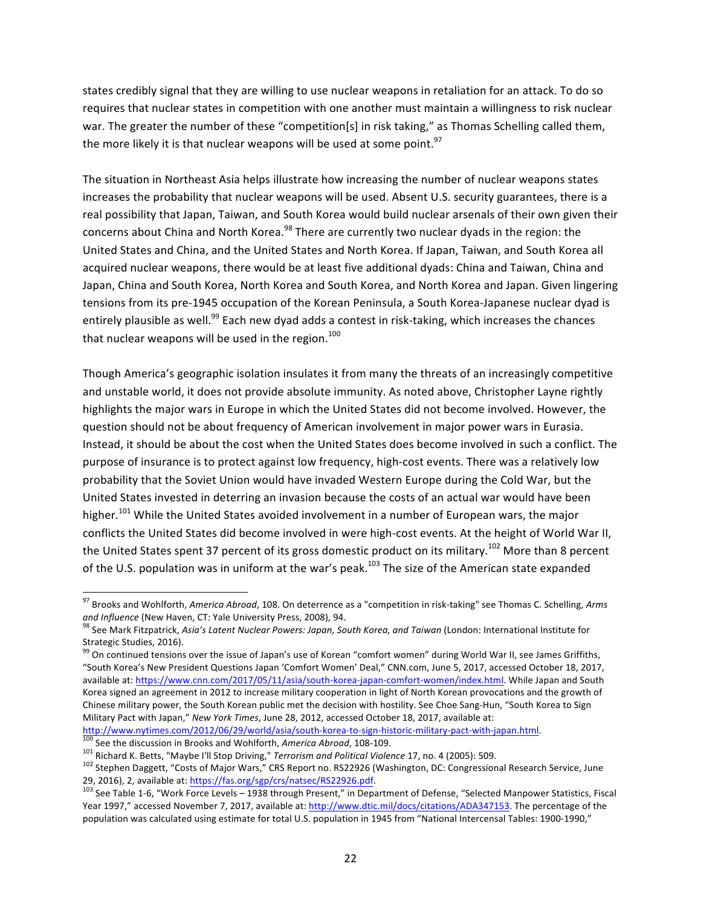states credibly signal that they are willing to use nuclear weapons in retaliation for an attack. To do so requires that nuclear states in competition with one another must maintain a willingness to risk nuclear war. The greater the number of these "competition[s] in risk taking," as Thomas Schelling called them, the more likely it is that nuclear weapons will be used at some point.<sup>97</sup>

The situation in Northeast Asia helps illustrate how increasing the number of nuclear weapons states increases the probability that nuclear weapons will be used. Absent U.S. security guarantees, there is a real possibility that Japan, Taiwan, and South Korea would build nuclear arsenals of their own given their concerns about China and North Korea.<sup>98</sup> There are currently two nuclear dyads in the region: the United States and China, and the United States and North Korea. If Japan, Taiwan, and South Korea all acquired nuclear weapons, there would be at least five additional dyads: China and Taiwan, China and Japan, China and South Korea, North Korea and South Korea, and North Korea and Japan. Given lingering tensions from its pre-1945 occupation of the Korean Peninsula, a South Korea-Japanese nuclear dyad is entirely plausible as well.<sup>99</sup> Each new dyad adds a contest in risk-taking, which increases the chances that nuclear weapons will be used in the region.<sup>100</sup>

Though America's geographic isolation insulates it from many the threats of an increasingly competitive and unstable world, it does not provide absolute immunity. As noted above, Christopher Layne rightly highlights the major wars in Europe in which the United States did not become involved. However, the question should not be about frequency of American involvement in major power wars in Eurasia. Instead, it should be about the cost when the United States does become involved in such a conflict. The purpose of insurance is to protect against low frequency, high-cost events. There was a relatively low probability that the Soviet Union would have invaded Western Europe during the Cold War, but the United States invested in deterring an invasion because the costs of an actual war would have been higher.<sup>101</sup> While the United States avoided involvement in a number of European wars, the major conflicts the United States did become involved in were high-cost events. At the height of World War II, the United States spent 37 percent of its gross domestic product on its military.<sup>102</sup> More than 8 percent of the U.S. population was in uniform at the war's peak.<sup>103</sup> The size of the American state expanded

<sup>&</sup>lt;sup>97</sup> Brooks and Wohlforth, *America Abroad*, 108. On deterrence as a "competition in risk-taking" see Thomas C. Schelling, Arms and Influence (New Haven, CT: Yale University Press, 2008), 94. **98 See Mark Communisty Communisty** See Mark Fitzpatrick, *Asia's Latent Nuclear Powers: Japan, South Korea, and Taiwan* (London: International Institute for

Strategic Studies, 2016).

<sup>&</sup>lt;sup>99</sup> On continued tensions over the issue of Japan's use of Korean "comfort women" during World War II, see James Griffiths, "South Korea's New President Questions Japan 'Comfort Women' Deal," CNN.com, June 5, 2017, accessed October 18, 2017, available at: https://www.cnn.com/2017/05/11/asia/south-korea-japan-comfort-women/index.html. While Japan and South Korea signed an agreement in 2012 to increase military cooperation in light of North Korean provocations and the growth of Chinese military power, the South Korean public met the decision with hostility. See Choe Sang-Hun, "South Korea to Sign Military Pact with Japan," *New York Times*, June 28, 2012, accessed October 18, 2017, available at:<br>http://www.nytimes.com/2012/06/29/world/asia/south-korea-to-sign-historic-military-pact-with-japan.html.

<sup>&</sup>lt;sup>100</sup> See the discussion in Brooks and Wohlforth, America Abroad, 108-109.<br><sup>101</sup> Richard K. Betts, "Maybe I'll Stop Driving," *Terrorism and Political Violence* 17, no. 4 (2005): 509.<br><sup>102</sup> Stephen Daggett, "Costs of Major

<sup>29, 2016), 2,</sup> available at: *https://fas.org/sgp/crs/natsec/RS22926.pdf.*<br><sup>103</sup> See Table 1-6, "Work Force Levels – 1938 through Present," in Department of Defense, "Selected Manpower Statistics, Fiscal Year 1997," accessed November 7, 2017, available at: http://www.dtic.mil/docs/citations/ADA347153. The percentage of the population was calculated using estimate for total U.S. population in 1945 from "National Intercensal Tables: 1900-1990,"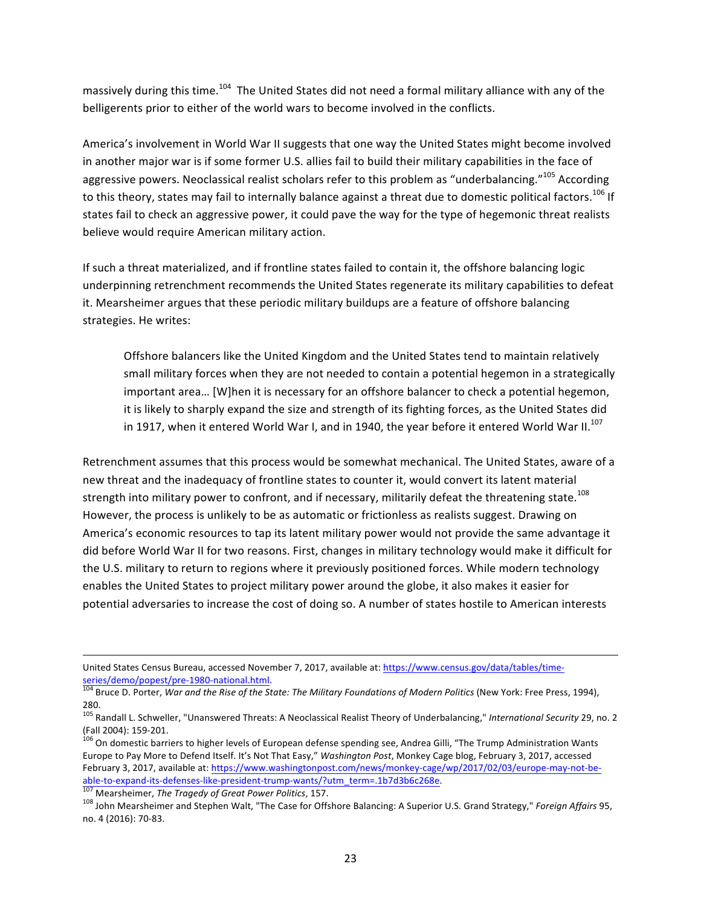massively during this time.<sup>104</sup> The United States did not need a formal military alliance with any of the belligerents prior to either of the world wars to become involved in the conflicts.

America's involvement in World War II suggests that one way the United States might become involved in another major war is if some former U.S. allies fail to build their military capabilities in the face of aggressive powers. Neoclassical realist scholars refer to this problem as "underbalancing."<sup>105</sup> According to this theory, states may fail to internally balance against a threat due to domestic political factors.<sup>106</sup> If states fail to check an aggressive power, it could pave the way for the type of hegemonic threat realists believe would require American military action.

If such a threat materialized, and if frontline states failed to contain it, the offshore balancing logic underpinning retrenchment recommends the United States regenerate its military capabilities to defeat it. Mearsheimer argues that these periodic military buildups are a feature of offshore balancing strategies. He writes:

Offshore balancers like the United Kingdom and the United States tend to maintain relatively small military forces when they are not needed to contain a potential hegemon in a strategically important area... [W]hen it is necessary for an offshore balancer to check a potential hegemon, it is likely to sharply expand the size and strength of its fighting forces, as the United States did in 1917, when it entered World War I, and in 1940, the year before it entered World War II.<sup>107</sup>

Retrenchment assumes that this process would be somewhat mechanical. The United States, aware of a new threat and the inadequacy of frontline states to counter it, would convert its latent material strength into military power to confront, and if necessary, militarily defeat the threatening state.<sup>108</sup> However, the process is unlikely to be as automatic or frictionless as realists suggest. Drawing on America's economic resources to tap its latent military power would not provide the same advantage it did before World War II for two reasons. First, changes in military technology would make it difficult for the U.S. military to return to regions where it previously positioned forces. While modern technology enables the United States to project military power around the globe, it also makes it easier for potential adversaries to increase the cost of doing so. A number of states hostile to American interests

 

United States Census Bureau, accessed November 7, 2017, available at: https://www.census.gov/data/tables/time-

series/demo/popest/pre-1980-national.html.<br><sup>104</sup> Bruce D. Porter, War and the Rise of the State: The Military Foundations of Modern Politics (New York: Free Press, 1994), 280.

<sup>&</sup>lt;sup>105</sup> Randall L. Schweller, "Unanswered Threats: A Neoclassical Realist Theory of Underbalancing," *International Security* 29, no. 2<br>(Fall 2004): 159-201.

<sup>&</sup>lt;sup>106</sup> On domestic barriers to higher levels of European defense spending see, Andrea Gilli, "The Trump Administration Wants Europe to Pay More to Defend Itself. It's Not That Easy," Washington Post, Monkey Cage blog, February 3, 2017, accessed February 3, 2017, available at: https://www.washingtonpost.com/news/monkey-cage/wp/2017/02/03/europe-may-not-beable-to-expand-its-defenses-like-president-trump-wants/?utm\_term=.1b7d3b6c268e.<br><sup>107</sup> Mearsheimer, *The Tragedy of Great Power Politics*, 157.<br><sup>108</sup> John Mearsheimer and Stephen Walt, "The Case for Offshore Balancing: A Su

no. 4 (2016): 70-83.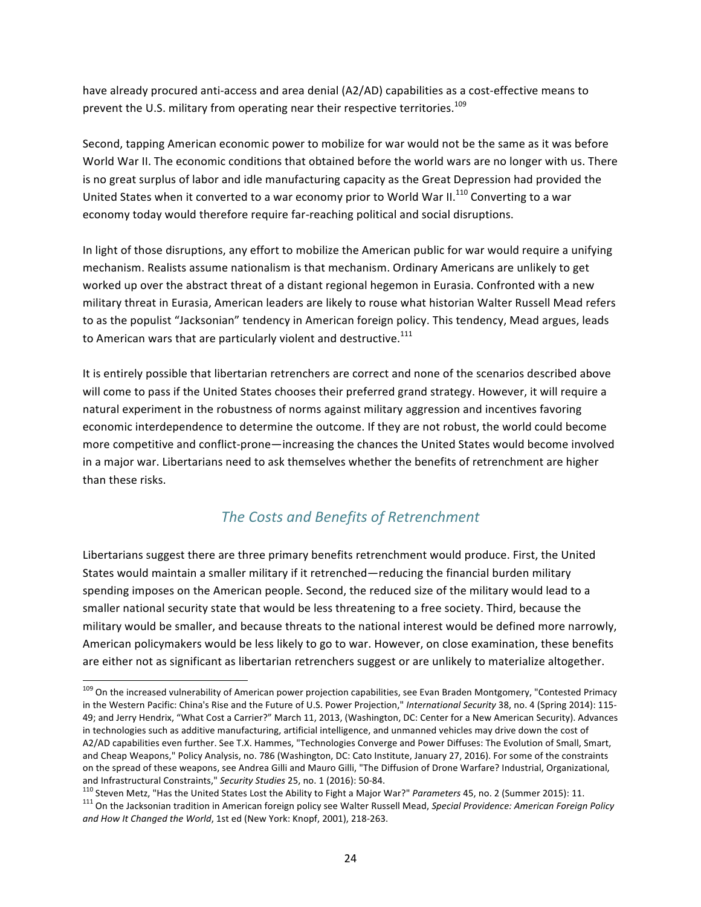have already procured anti-access and area denial (A2/AD) capabilities as a cost-effective means to prevent the U.S. military from operating near their respective territories.<sup>109</sup>

Second, tapping American economic power to mobilize for war would not be the same as it was before World War II. The economic conditions that obtained before the world wars are no longer with us. There is no great surplus of labor and idle manufacturing capacity as the Great Depression had provided the United States when it converted to a war economy prior to World War II.<sup>110</sup> Converting to a war economy today would therefore require far-reaching political and social disruptions.

In light of those disruptions, any effort to mobilize the American public for war would require a unifying mechanism. Realists assume nationalism is that mechanism. Ordinary Americans are unlikely to get worked up over the abstract threat of a distant regional hegemon in Eurasia. Confronted with a new military threat in Eurasia, American leaders are likely to rouse what historian Walter Russell Mead refers to as the populist "Jacksonian" tendency in American foreign policy. This tendency, Mead argues, leads to American wars that are particularly violent and destructive.<sup>111</sup>

It is entirely possible that libertarian retrenchers are correct and none of the scenarios described above will come to pass if the United States chooses their preferred grand strategy. However, it will require a natural experiment in the robustness of norms against military aggression and incentives favoring economic interdependence to determine the outcome. If they are not robust, the world could become more competitive and conflict-prone—increasing the chances the United States would become involved in a major war. Libertarians need to ask themselves whether the benefits of retrenchment are higher than these risks.

#### *The Costs and Benefits of Retrenchment*

Libertarians suggest there are three primary benefits retrenchment would produce. First, the United States would maintain a smaller military if it retrenched—reducing the financial burden military spending imposes on the American people. Second, the reduced size of the military would lead to a smaller national security state that would be less threatening to a free society. Third, because the military would be smaller, and because threats to the national interest would be defined more narrowly, American policymakers would be less likely to go to war. However, on close examination, these benefits are either not as significant as libertarian retrenchers suggest or are unlikely to materialize altogether.

<sup>109</sup> On the increased vulnerability of American power projection capabilities, see Evan Braden Montgomery, "Contested Primacy in the Western Pacific: China's Rise and the Future of U.S. Power Projection," International Security 38, no. 4 (Spring 2014): 115-49; and Jerry Hendrix, "What Cost a Carrier?" March 11, 2013, (Washington, DC: Center for a New American Security). Advances in technologies such as additive manufacturing, artificial intelligence, and unmanned vehicles may drive down the cost of A2/AD capabilities even further. See T.X. Hammes, "Technologies Converge and Power Diffuses: The Evolution of Small, Smart, and Cheap Weapons," Policy Analysis, no. 786 (Washington, DC: Cato Institute, January 27, 2016). For some of the constraints on the spread of these weapons, see Andrea Gilli and Mauro Gilli, "The Diffusion of Drone Warfare? Industrial, Organizational,

and Infrastructural Constraints," Security Studies 25, no. 1 (2016): 50-84.<br><sup>110</sup> Steven Metz, "Has the United States Lost the Ability to Fight a Major War?" Parameters 45, no. 2 (Summer 2015): 11.<br><sup>111</sup> On the Jacksonian and How It Changed the World, 1st ed (New York: Knopf, 2001), 218-263.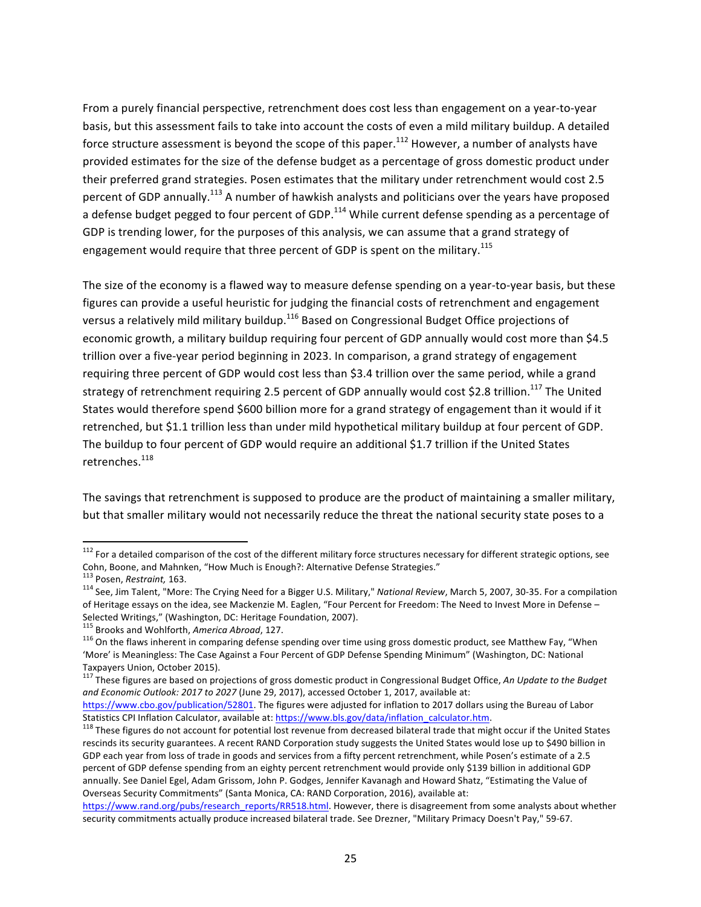From a purely financial perspective, retrenchment does cost less than engagement on a year-to-year basis, but this assessment fails to take into account the costs of even a mild military buildup. A detailed force structure assessment is beyond the scope of this paper.<sup>112</sup> However, a number of analysts have provided estimates for the size of the defense budget as a percentage of gross domestic product under their preferred grand strategies. Posen estimates that the military under retrenchment would cost 2.5 percent of GDP annually.<sup>113</sup> A number of hawkish analysts and politicians over the years have proposed a defense budget pegged to four percent of GDP.<sup>114</sup> While current defense spending as a percentage of GDP is trending lower, for the purposes of this analysis, we can assume that a grand strategy of engagement would require that three percent of GDP is spent on the military.<sup>115</sup>

The size of the economy is a flawed way to measure defense spending on a year-to-year basis, but these figures can provide a useful heuristic for judging the financial costs of retrenchment and engagement versus a relatively mild military buildup.<sup>116</sup> Based on Congressional Budget Office projections of economic growth, a military buildup requiring four percent of GDP annually would cost more than \$4.5 trillion over a five-year period beginning in 2023. In comparison, a grand strategy of engagement requiring three percent of GDP would cost less than \$3.4 trillion over the same period, while a grand strategy of retrenchment requiring 2.5 percent of GDP annually would cost \$2.8 trillion.<sup>117</sup> The United States would therefore spend \$600 billion more for a grand strategy of engagement than it would if it retrenched, but \$1.1 trillion less than under mild hypothetical military buildup at four percent of GDP. The buildup to four percent of GDP would require an additional \$1.7 trillion if the United States retrenches.<sup>118</sup>

The savings that retrenchment is supposed to produce are the product of maintaining a smaller military, but that smaller military would not necessarily reduce the threat the national security state poses to a

 $112$  For a detailed comparison of the cost of the different military force structures necessary for different strategic options, see Cohn, Boone, and Mahnken, "How Much is Enough?: Alternative Defense Strategies."<br>
<sup>113</sup> Posen, Restraint, 163.

<sup>&</sup>lt;sup>114</sup> See, Jim Talent, "More: The Crying Need for a Bigger U.S. Military," *National Review*, March 5, 2007, 30-35. For a compilation of Heritage essays on the idea, see Mackenzie M. Eaglen, "Four Percent for Freedom: The Need to Invest More in Defense -Selected Writings," (Washington, DC: Heritage Foundation, 2007).<br><sup>115</sup> Brooks and Wohlforth, America Abroad, 127.

<sup>&</sup>lt;sup>116</sup> On the flaws inherent in comparing defense spending over time using gross domestic product, see Matthew Fay, "When 'More' is Meaningless: The Case Against a Four Percent of GDP Defense Spending Minimum" (Washington, DC: National Taxpayers Union, October 2015).

<sup>&</sup>lt;sup>117</sup> These figures are based on projections of gross domestic product in Congressional Budget Office, An Update to the Budget and Economic Outlook: 2017 to 2027 (June 29, 2017), accessed October 1, 2017, available at:

https://www.cbo.gov/publication/52801. The figures were adjusted for inflation to 2017 dollars using the Bureau of Labor

Statistics CPI Inflation Calculator, available at: https://www.bls.gov/data/inflation\_calculator.htm.<br><sup>118</sup> These figures do not account for potential lost revenue from decreased bilateral trade that might occur if the Uni rescinds its security guarantees. A recent RAND Corporation study suggests the United States would lose up to \$490 billion in GDP each year from loss of trade in goods and services from a fifty percent retrenchment, while Posen's estimate of a 2.5 percent of GDP defense spending from an eighty percent retrenchment would provide only \$139 billion in additional GDP annually. See Daniel Egel, Adam Grissom, John P. Godges, Jennifer Kavanagh and Howard Shatz, "Estimating the Value of Overseas Security Commitments" (Santa Monica, CA: RAND Corporation, 2016), available at:

https://www.rand.org/pubs/research\_reports/RR518.html. However, there is disagreement from some analysts about whether security commitments actually produce increased bilateral trade. See Drezner, "Military Primacy Doesn't Pay," 59-67.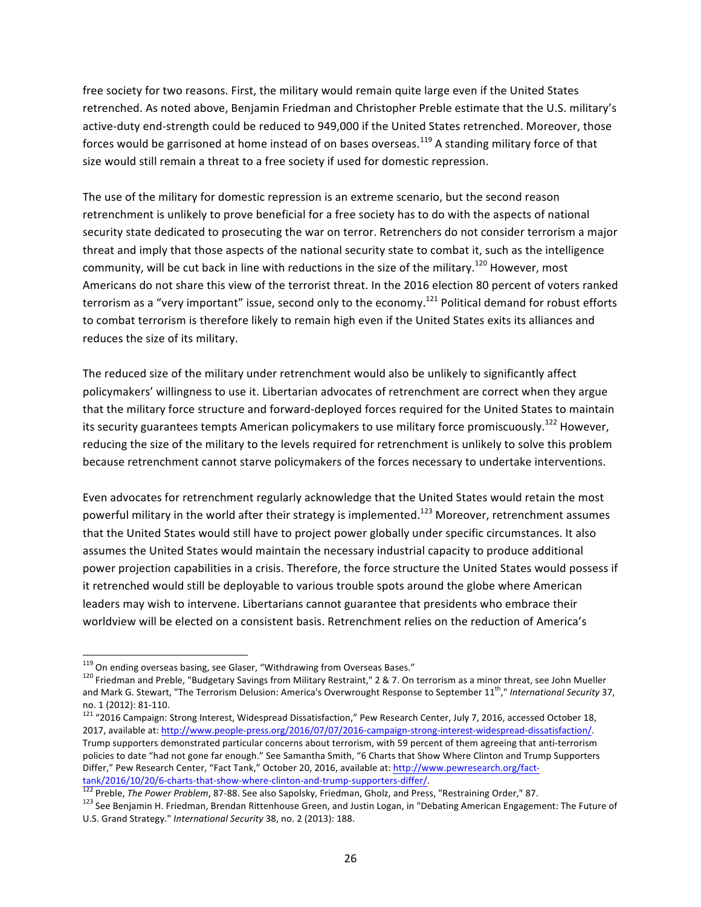free society for two reasons. First, the military would remain quite large even if the United States retrenched. As noted above, Benjamin Friedman and Christopher Preble estimate that the U.S. military's active-duty end-strength could be reduced to 949,000 if the United States retrenched. Moreover, those forces would be garrisoned at home instead of on bases overseas.<sup>119</sup> A standing military force of that size would still remain a threat to a free society if used for domestic repression.

The use of the military for domestic repression is an extreme scenario, but the second reason retrenchment is unlikely to prove beneficial for a free society has to do with the aspects of national security state dedicated to prosecuting the war on terror. Retrenchers do not consider terrorism a major threat and imply that those aspects of the national security state to combat it, such as the intelligence community, will be cut back in line with reductions in the size of the military.<sup>120</sup> However, most Americans do not share this view of the terrorist threat. In the 2016 election 80 percent of voters ranked terrorism as a "very important" issue, second only to the economy.<sup>121</sup> Political demand for robust efforts to combat terrorism is therefore likely to remain high even if the United States exits its alliances and reduces the size of its military.

The reduced size of the military under retrenchment would also be unlikely to significantly affect policymakers' willingness to use it. Libertarian advocates of retrenchment are correct when they argue that the military force structure and forward-deployed forces required for the United States to maintain its security guarantees tempts American policymakers to use military force promiscuously.<sup>122</sup> However, reducing the size of the military to the levels required for retrenchment is unlikely to solve this problem because retrenchment cannot starve policymakers of the forces necessary to undertake interventions.

Even advocates for retrenchment regularly acknowledge that the United States would retain the most powerful military in the world after their strategy is implemented.<sup>123</sup> Moreover, retrenchment assumes that the United States would still have to project power globally under specific circumstances. It also assumes the United States would maintain the necessary industrial capacity to produce additional power projection capabilities in a crisis. Therefore, the force structure the United States would possess if it retrenched would still be deployable to various trouble spots around the globe where American leaders may wish to intervene. Libertarians cannot guarantee that presidents who embrace their worldview will be elected on a consistent basis. Retrenchment relies on the reduction of America's

<sup>&</sup>lt;sup>119</sup> On ending overseas basing, see Glaser, "Withdrawing from Overseas Bases." **120 Friedman** and Preble, "Budgetary Savings from Military Restraint," 2 & 7. On terrorism as a minor threat, see John Mueller and Mark G. Stewart, "The Terrorism Delusion: America's Overwrought Response to September 11<sup>th</sup>," International Security 37, no. 1 (2012): 81-110.<br><sup>121</sup> "2016 Campaign: Strong Interest, Widespread Dissatisfaction," Pew Research Center, July 7, 2016, accessed October 18,

<sup>2017,</sup> available at: http://www.people-press.org/2016/07/07/2016-campaign-strong-interest-widespread-dissatisfaction/. Trump supporters demonstrated particular concerns about terrorism, with 59 percent of them agreeing that anti-terrorism policies to date "had not gone far enough." See Samantha Smith, "6 Charts that Show Where Clinton and Trump Supporters Differ," Pew Research Center, "Fact Tank," October 20, 2016, available at: http://www.pewresearch.org/facttank/2016/10/20/6-charts-that-show-where-clinton-and-trump-supporters-differ/.<br><sup>122</sup> Preble, *The Power Problem*, 87-88. See also Sapolsky, Friedman, Gholz, and Press, "Restraining Order," 87.<br><sup>123</sup> See Benjamin H. Friedma

U.S. Grand Strategy." International Security 38, no. 2 (2013): 188.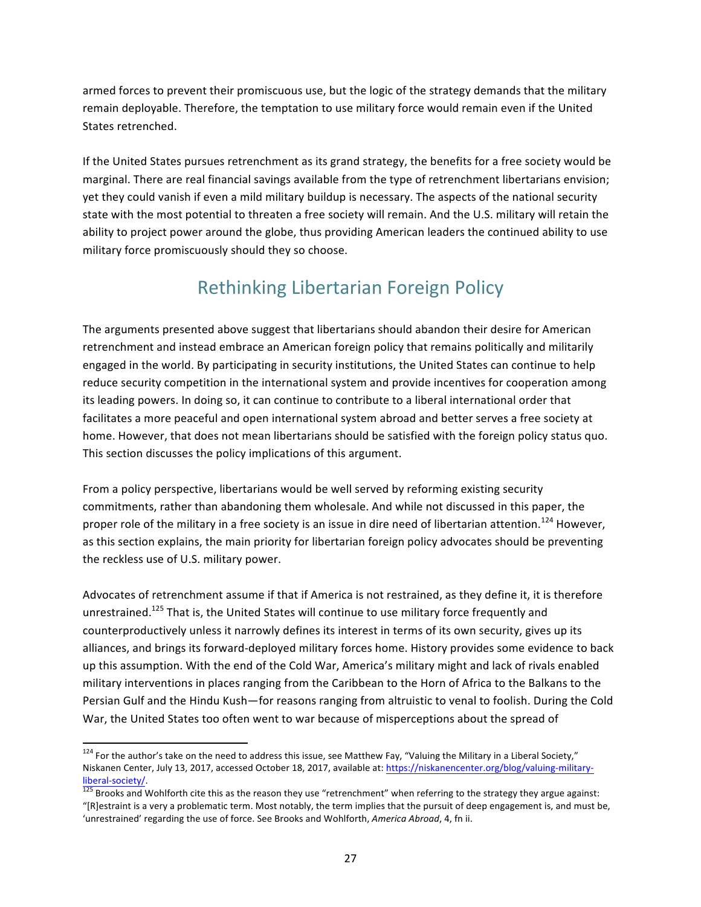armed forces to prevent their promiscuous use, but the logic of the strategy demands that the military remain deployable. Therefore, the temptation to use military force would remain even if the United States retrenched.

If the United States pursues retrenchment as its grand strategy, the benefits for a free society would be marginal. There are real financial savings available from the type of retrenchment libertarians envision; yet they could vanish if even a mild military buildup is necessary. The aspects of the national security state with the most potential to threaten a free society will remain. And the U.S. military will retain the ability to project power around the globe, thus providing American leaders the continued ability to use military force promiscuously should they so choose.

# Rethinking Libertarian Foreign Policy

The arguments presented above suggest that libertarians should abandon their desire for American retrenchment and instead embrace an American foreign policy that remains politically and militarily engaged in the world. By participating in security institutions, the United States can continue to help reduce security competition in the international system and provide incentives for cooperation among its leading powers. In doing so, it can continue to contribute to a liberal international order that facilitates a more peaceful and open international system abroad and better serves a free society at home. However, that does not mean libertarians should be satisfied with the foreign policy status quo. This section discusses the policy implications of this argument.

From a policy perspective, libertarians would be well served by reforming existing security commitments, rather than abandoning them wholesale. And while not discussed in this paper, the proper role of the military in a free society is an issue in dire need of libertarian attention.<sup>124</sup> However, as this section explains, the main priority for libertarian foreign policy advocates should be preventing the reckless use of U.S. military power.

Advocates of retrenchment assume if that if America is not restrained, as they define it, it is therefore unrestrained.<sup>125</sup> That is, the United States will continue to use military force frequently and counterproductively unless it narrowly defines its interest in terms of its own security, gives up its alliances, and brings its forward-deployed military forces home. History provides some evidence to back up this assumption. With the end of the Cold War, America's military might and lack of rivals enabled military interventions in places ranging from the Caribbean to the Horn of Africa to the Balkans to the Persian Gulf and the Hindu Kush—for reasons ranging from altruistic to venal to foolish. During the Cold War, the United States too often went to war because of misperceptions about the spread of

 $124$  For the author's take on the need to address this issue, see Matthew Fay, "Valuing the Military in a Liberal Society," Niskanen Center, July 13, 2017, accessed October 18, 2017, available at: https://niskanencenter.org/blog/valuing-military- $\frac{255}{125}$  Brooks and Wohlforth cite this as the reason they use "retrenchment" when referring to the strategy they argue against:

<sup>&</sup>quot;[R]estraint is a very a problematic term. Most notably, the term implies that the pursuit of deep engagement is, and must be, 'unrestrained' regarding the use of force. See Brooks and Wohlforth, *America Abroad*, 4, fn ii.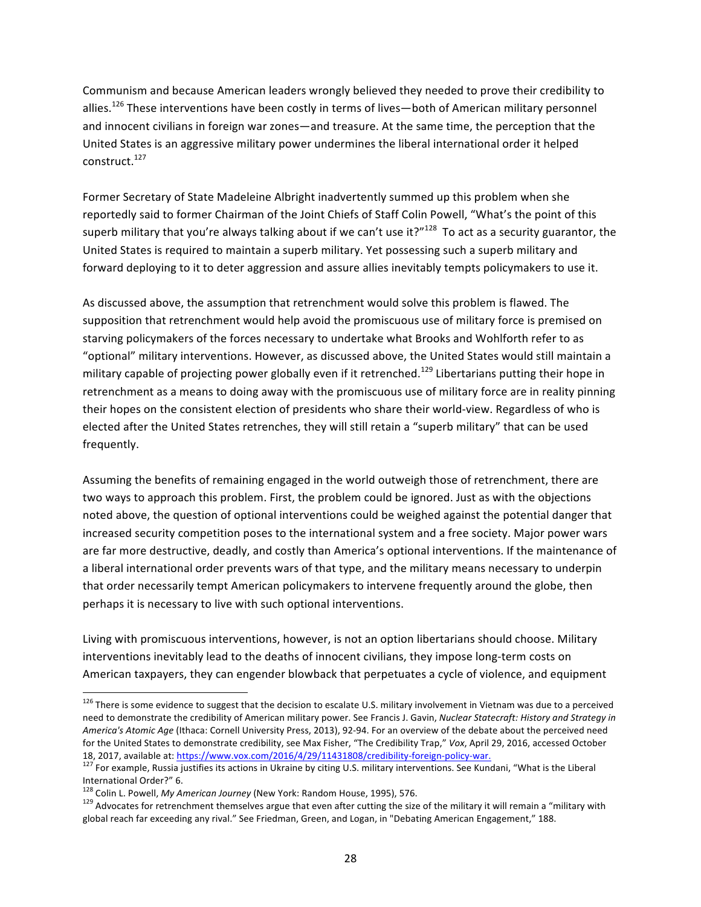Communism and because American leaders wrongly believed they needed to prove their credibility to allies.<sup>126</sup> These interventions have been costly in terms of lives—both of American military personnel and innocent civilians in foreign war zones—and treasure. At the same time, the perception that the United States is an aggressive military power undermines the liberal international order it helped construct.<sup>127</sup>

Former Secretary of State Madeleine Albright inadvertently summed up this problem when she reportedly said to former Chairman of the Joint Chiefs of Staff Colin Powell, "What's the point of this superb military that you're always talking about if we can't use it?"<sup>128</sup> To act as a security guarantor, the United States is required to maintain a superb military. Yet possessing such a superb military and forward deploying to it to deter aggression and assure allies inevitably tempts policymakers to use it.

As discussed above, the assumption that retrenchment would solve this problem is flawed. The supposition that retrenchment would help avoid the promiscuous use of military force is premised on starving policymakers of the forces necessary to undertake what Brooks and Wohlforth refer to as "optional" military interventions. However, as discussed above, the United States would still maintain a military capable of projecting power globally even if it retrenched.<sup>129</sup> Libertarians putting their hope in retrenchment as a means to doing away with the promiscuous use of military force are in reality pinning their hopes on the consistent election of presidents who share their world-view. Regardless of who is elected after the United States retrenches, they will still retain a "superb military" that can be used frequently.

Assuming the benefits of remaining engaged in the world outweigh those of retrenchment, there are two ways to approach this problem. First, the problem could be ignored. Just as with the objections noted above, the question of optional interventions could be weighed against the potential danger that increased security competition poses to the international system and a free society. Major power wars are far more destructive, deadly, and costly than America's optional interventions. If the maintenance of a liberal international order prevents wars of that type, and the military means necessary to underpin that order necessarily tempt American policymakers to intervene frequently around the globe, then perhaps it is necessary to live with such optional interventions.

Living with promiscuous interventions, however, is not an option libertarians should choose. Military interventions inevitably lead to the deaths of innocent civilians, they impose long-term costs on American taxpayers, they can engender blowback that perpetuates a cycle of violence, and equipment

 $126$  There is some evidence to suggest that the decision to escalate U.S. military involvement in Vietnam was due to a perceived need to demonstrate the credibility of American military power. See Francis J. Gavin, *Nuclear Statecraft: History and Strategy in America's Atomic Age* (Ithaca: Cornell University Press, 2013), 92-94. For an overview of the debate about the perceived need for the United States to demonstrate credibility, see Max Fisher, "The Credibility Trap," Vox, April 29, 2016, accessed October 18, 2017, available at: https://www.vox.com/2016/4/29/11431808/credibility-foreign-policy-war.<br><sup>127</sup> For example, Russia justifies its actions in Ukraine by citing U.S. military interventions. See Kundani, "What is the Lib

International Order?" 6.<br><sup>128</sup> Colin L. Powell, *My American Journey* (New York: Random House, 1995), 576.

<sup>&</sup>lt;sup>129</sup> Advocates for retrenchment themselves argue that even after cutting the size of the military it will remain a "military with global reach far exceeding any rival." See Friedman, Green, and Logan, in "Debating American Engagement," 188.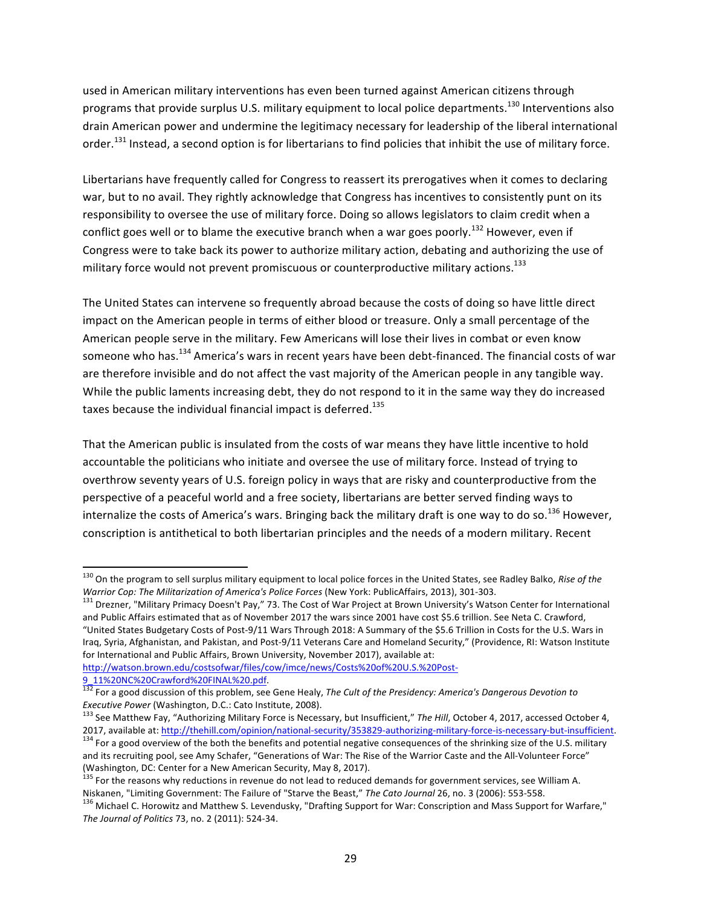used in American military interventions has even been turned against American citizens through programs that provide surplus U.S. military equipment to local police departments.<sup>130</sup> Interventions also drain American power and undermine the legitimacy necessary for leadership of the liberal international order.<sup>131</sup> Instead, a second option is for libertarians to find policies that inhibit the use of military force.

Libertarians have frequently called for Congress to reassert its prerogatives when it comes to declaring war, but to no avail. They rightly acknowledge that Congress has incentives to consistently punt on its responsibility to oversee the use of military force. Doing so allows legislators to claim credit when a conflict goes well or to blame the executive branch when a war goes poorly.<sup>132</sup> However, even if Congress were to take back its power to authorize military action, debating and authorizing the use of military force would not prevent promiscuous or counterproductive military actions.<sup>133</sup>

The United States can intervene so frequently abroad because the costs of doing so have little direct impact on the American people in terms of either blood or treasure. Only a small percentage of the American people serve in the military. Few Americans will lose their lives in combat or even know someone who has.<sup>134</sup> America's wars in recent years have been debt-financed. The financial costs of war are therefore invisible and do not affect the vast majority of the American people in any tangible way. While the public laments increasing debt, they do not respond to it in the same way they do increased taxes because the individual financial impact is deferred.<sup>135</sup>

That the American public is insulated from the costs of war means they have little incentive to hold accountable the politicians who initiate and oversee the use of military force. Instead of trying to overthrow seventy years of U.S. foreign policy in ways that are risky and counterproductive from the perspective of a peaceful world and a free society, libertarians are better served finding ways to internalize the costs of America's wars. Bringing back the military draft is one way to do so.<sup>136</sup> However, conscription is antithetical to both libertarian principles and the needs of a modern military. Recent

http://watson.brown.edu/costsofwar/files/cow/imce/news/Costs%20of%20U.S.%20Post-

<sup>&</sup>lt;sup>130</sup> On the program to sell surplus military equipment to local police forces in the United States, see Radley Balko, Rise of the<br>Warrior Cop: The Militarization of America's Police Forces (New York: PublicAffairs, 2013),

<sup>&</sup>lt;sup>131</sup> Drezner, "Military Primacy Doesn't Pay," 73. The Cost of War Project at Brown University's Watson Center for International and Public Affairs estimated that as of November 2017 the wars since 2001 have cost \$5.6 trillion. See Neta C. Crawford, "United States Budgetary Costs of Post-9/11 Wars Through 2018: A Summary of the \$5.6 Trillion in Costs for the U.S. Wars in Iraq, Syria, Afghanistan, and Pakistan, and Post-9/11 Veterans Care and Homeland Security," (Providence, RI: Watson Institute for International and Public Affairs, Brown University, November 2017), available at:

<sup>&</sup>lt;sup>132</sup> For a good discussion of this problem, see Gene Healy, The Cult of the Presidency: America's Dangerous Devotion to

*Executive Power* (Washington, D.C.: Cato Institute, 2008).<br>
<sup>133</sup> See Matthew Fay, "Authorizing Military Force is Necessary, but Insufficient," *The Hill*, October 4, 2017, accessed October 4,<br>
2017, available at: http://

<sup>&</sup>lt;sup>134</sup> For a good overview of the both the benefits and potential negative consequences of the shrinking size of the U.S. military and its recruiting pool, see Amy Schafer, "Generations of War: The Rise of the Warrior Caste and the All-Volunteer Force" (Washington, DC: Center for a New American Security, May 8, 2017).

 $^{135}$  For the reasons why reductions in revenue do not lead to reduced demands for government services, see William A.<br>Niskanen, "Limiting Government: The Failure of "Starve the Beast," The Cato Journal 26, no. 3 (2006)

<sup>&</sup>lt;sup>136</sup> Michael C. Horowitz and Matthew S. Levendusky, "Drafting Support for War: Conscription and Mass Support for Warfare," The Journal of Politics 73, no. 2 (2011): 524-34.